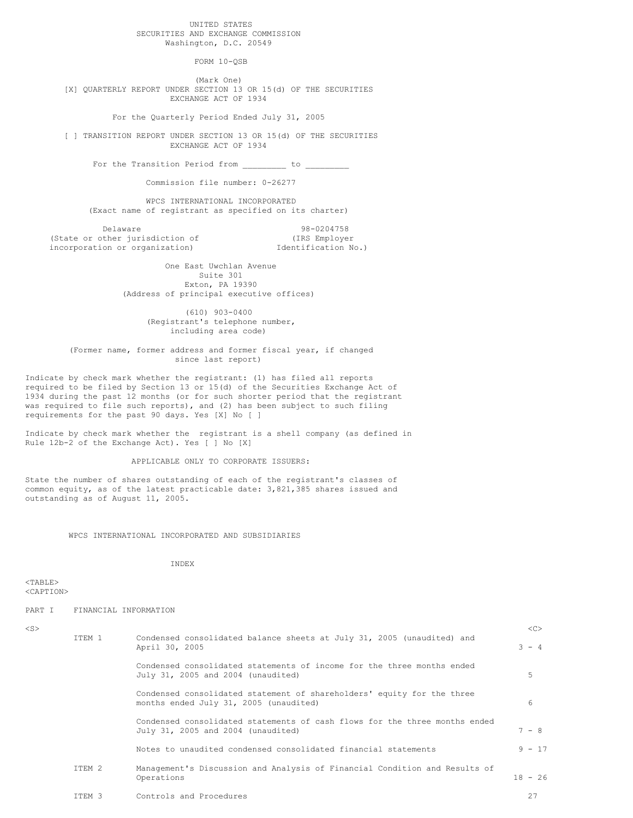#### UNITED STATES SECURITIES AND EXCHANGE COMMISSION Washington, D.C. 20549

FORM 10-QSB

(Mark One) [X] QUARTERLY REPORT UNDER SECTION 13 OR 15(d) OF THE SECURITIES EXCHANGE ACT OF 1934

For the Quarterly Period Ended July 31, 2005

[ ] TRANSITION REPORT UNDER SECTION 13 OR 15(d) OF THE SECURITIES EXCHANGE ACT OF 1934

For the Transition Period from  $\frac{\ }{\ }$  to  $\frac{\ }{\ }$ 

Commission file number: 0-26277

WPCS INTERNATIONAL INCORPORATED (Exact name of registrant as specified on its charter)

Delaware 98-0204758<br>
bther jurisdiction of (IRS Employer (State or other jurisdiction of incorporation or organization) Identification No.)

> One East Uwchlan Avenue Suite 301 Exton, PA 19390 (Address of principal executive offices)

> > (610) 903-0400 (Registrant's telephone number, including area code)

(Former name, former address and former fiscal year, if changed since last report)

Indicate by check mark whether the registrant: (1) has filed all reports required to be filed by Section 13 or 15(d) of the Securities Exchange Act of 1934 during the past 12 months (or for such shorter period that the registrant was required to file such reports), and (2) has been subject to such filing requirements for the past 90 days. Yes [X] No [ ]

Indicate by check mark whether the registrant is a shell company (as defined in Rule 12b-2 of the Exchange Act). Yes [ ] No [X]

APPLICABLE ONLY TO CORPORATE ISSUERS:

State the number of shares outstanding of each of the registrant's classes of common equity, as of the latest practicable date: 3,821,385 shares issued and outstanding as of August 11, 2005.

WPCS INTERNATIONAL INCORPORATED AND SUBSIDIARIES

**INDEX** 

 $<$ TABLE> <CAPTION>

#### PART I FINANCIAL INFORMATION

| $<$ S $>$ |        |                                                                                                                  | < <sub></sub> |
|-----------|--------|------------------------------------------------------------------------------------------------------------------|---------------|
|           | ITEM 1 | Condensed consolidated balance sheets at July 31, 2005 (unaudited) and<br>April 30, 2005                         | $3 - 4$       |
|           |        | Condensed consolidated statements of income for the three months ended<br>July 31, 2005 and 2004 (unaudited)     | 5.            |
|           |        | Condensed consolidated statement of shareholders' equity for the three<br>months ended July 31, 2005 (unaudited) | 6             |
|           |        | Condensed consolidated statements of cash flows for the three months ended<br>July 31, 2005 and 2004 (unaudited) | $7 - 8$       |
|           |        | Notes to unaudited condensed consolidated financial statements                                                   | $9 - 17$      |
|           | ITEM 2 | Management's Discussion and Analysis of Financial Condition and Results of<br>Operations                         | $18 - 26$     |
|           | TTEM 3 | Controls and Procedures                                                                                          | 27            |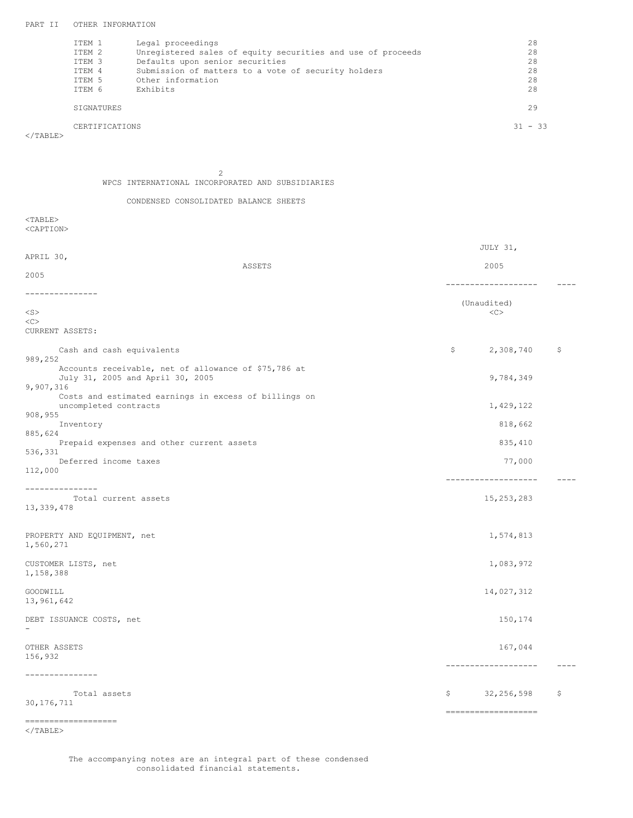#### PART II OTHER INFORMATION

|      | ITEM 1         | Legal proceedings                                           | 28        |
|------|----------------|-------------------------------------------------------------|-----------|
|      | ITEM 2         | Unregistered sales of equity securities and use of proceeds | 28        |
|      | ITEM 3         | Defaults upon senior securities                             | 28        |
|      | ITEM 4         | Submission of matters to a vote of security holders         | 28        |
|      | ITEM 5         | Other information                                           | 28        |
|      | TTEM 6         | Exhibits                                                    | 28        |
|      | SIGNATURES     |                                                             | 29        |
| ロエロヘ | CERTIFICATIONS |                                                             | $31 - 33$ |

 $<$ /TABLE>

2 WPCS INTERNATIONAL INCORPORATED AND SUBSIDIARIES

## CONDENSED CONSOLIDATED BALANCE SHEETS

 $<$ TABLE $>$ <CAPTION>

|                                                         |                                                       | JULY 31,                                   |    |
|---------------------------------------------------------|-------------------------------------------------------|--------------------------------------------|----|
| APRIL 30,                                               | ASSETS                                                | 2005                                       |    |
| 2005                                                    |                                                       | ------------------                         |    |
| ---------------                                         |                                                       | (Unaudited)                                |    |
| $<$ S $>$                                               |                                                       | $<$ C>                                     |    |
| <<<br>CURRENT ASSETS:                                   |                                                       |                                            |    |
| Cash and cash equivalents<br>989,252                    |                                                       | \$<br>2,308,740                            | \$ |
| July 31, 2005 and April 30, 2005<br>9,907,316           | Accounts receivable, net of allowance of \$75,786 at  | 9,784,349                                  |    |
| uncompleted contracts                                   | Costs and estimated earnings in excess of billings on | 1,429,122                                  |    |
| 908,955<br>Inventory                                    |                                                       | 818,662                                    |    |
| 885,624<br>Prepaid expenses and other current assets    |                                                       | 835,410                                    |    |
| 536,331<br>Deferred income taxes                        |                                                       | 77,000                                     |    |
| 112,000                                                 |                                                       | ------------------                         |    |
| ---------------<br>Total current assets<br>13, 339, 478 |                                                       | 15, 253, 283                               |    |
| PROPERTY AND EQUIPMENT, net<br>1,560,271                |                                                       | 1,574,813                                  |    |
| CUSTOMER LISTS, net<br>1,158,388                        |                                                       | 1,083,972                                  |    |
| GOODWILL<br>13,961,642                                  |                                                       | 14,027,312                                 |    |
| DEBT ISSUANCE COSTS, net                                |                                                       | 150,174                                    |    |
| OTHER ASSETS<br>156,932                                 |                                                       | 167,044<br>-------------------             |    |
| ---------------                                         |                                                       |                                            |    |
| Total assets<br>30, 176, 711                            |                                                       | \$<br>32, 256, 598<br>==================== | \$ |
| --------------------                                    |                                                       |                                            |    |

 $<$ /TABLE>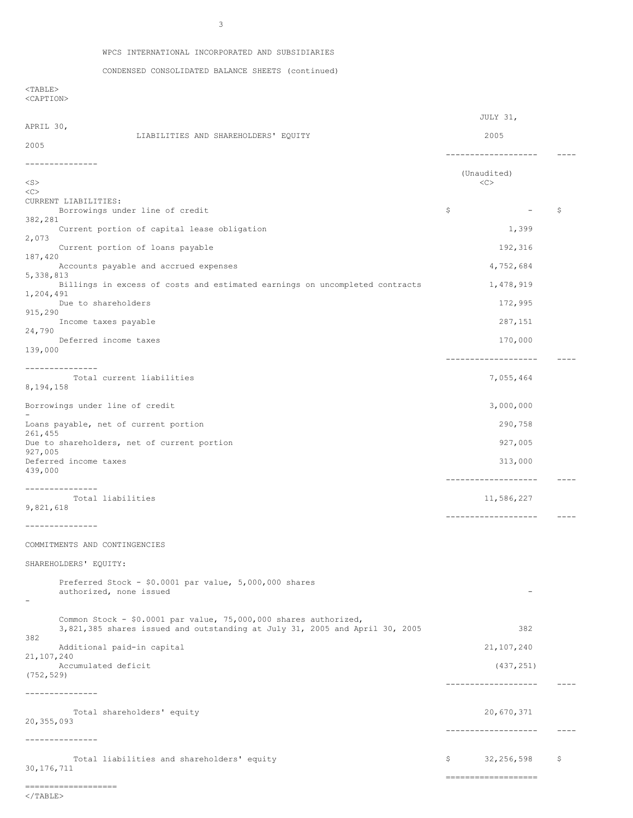# WPCS INTERNATIONAL INCORPORATED AND SUBSIDIARIES

CONDENSED CONSOLIDATED BALANCE SHEETS (continued)

 $<$ TABLE $>$ <CAPTION>

|                                                                                          |    | JULY 31,             |       |
|------------------------------------------------------------------------------------------|----|----------------------|-------|
| APRIL 30,<br>LIABILITIES AND SHAREHOLDERS' EQUITY                                        |    | 2005                 |       |
| 2005                                                                                     |    | -------------------  |       |
| ---------------                                                                          |    | (Unaudited)          |       |
| $<$ S $>$                                                                                |    | <<                   |       |
| <<<br>CURRENT LIABILITIES:                                                               |    |                      |       |
| Borrowings under line of credit<br>382,281                                               | Ş. |                      | S     |
| Current portion of capital lease obligation<br>2,073                                     |    | 1,399                |       |
| Current portion of loans payable<br>187,420                                              |    | 192,316              |       |
| Accounts payable and accrued expenses                                                    |    | 4,752,684            |       |
| 5,338,813<br>Billings in excess of costs and estimated earnings on uncompleted contracts |    | 1,478,919            |       |
| 1,204,491<br>Due to shareholders                                                         |    | 172,995              |       |
| 915,290<br>Income taxes payable                                                          |    | 287,151              |       |
| 24,790<br>Deferred income taxes                                                          |    | 170,000              |       |
| 139,000                                                                                  |    | -------------------  |       |
| ---------------<br>Total current liabilities                                             |    | 7,055,464            |       |
| 8,194,158                                                                                |    |                      |       |
| Borrowings under line of credit                                                          |    | 3,000,000            |       |
| Loans payable, net of current portion                                                    |    | 290,758              |       |
| 261,455<br>Due to shareholders, net of current portion                                   |    | 927,005              |       |
| 927,005<br>Deferred income taxes                                                         |    | 313,000              |       |
| 439,000                                                                                  |    | -----------------    |       |
| ---------------<br>Total liabilities                                                     |    | 11,586,227           |       |
| 9,821,618                                                                                |    | ------------------   |       |
| ---------------                                                                          |    |                      |       |
| COMMITMENTS AND CONTINGENCIES                                                            |    |                      |       |
| SHAREHOLDERS' EQUITY:                                                                    |    |                      |       |
| Preferred Stock - \$0.0001 par value, 5,000,000 shares                                   |    |                      |       |
| authorized, none issued<br>$\overline{\phantom{m}}$                                      |    |                      |       |
| Common Stock - \$0.0001 par value, 75,000,000 shares authorized,                         |    |                      |       |
| 3,821,385 shares issued and outstanding at July 31, 2005 and April 30, 2005<br>382       |    | 382                  |       |
| Additional paid-in capital<br>21,107,240                                                 |    | 21,107,240           |       |
| Accumulated deficit<br>(752, 529)                                                        |    | (437, 251)           |       |
| --------------                                                                           |    | ------------------   | $---$ |
|                                                                                          |    |                      |       |
| Total shareholders' equity<br>20, 355, 093                                               |    | 20,670,371           |       |
| --------------                                                                           |    | -------------------  |       |
| Total liabilities and shareholders' equity                                               | Ş. | 32, 256, 598         | \$.   |
| 30,176,711                                                                               |    | ==================== |       |
| ====================                                                                     |    |                      |       |

 $\rm <$  /TABLE>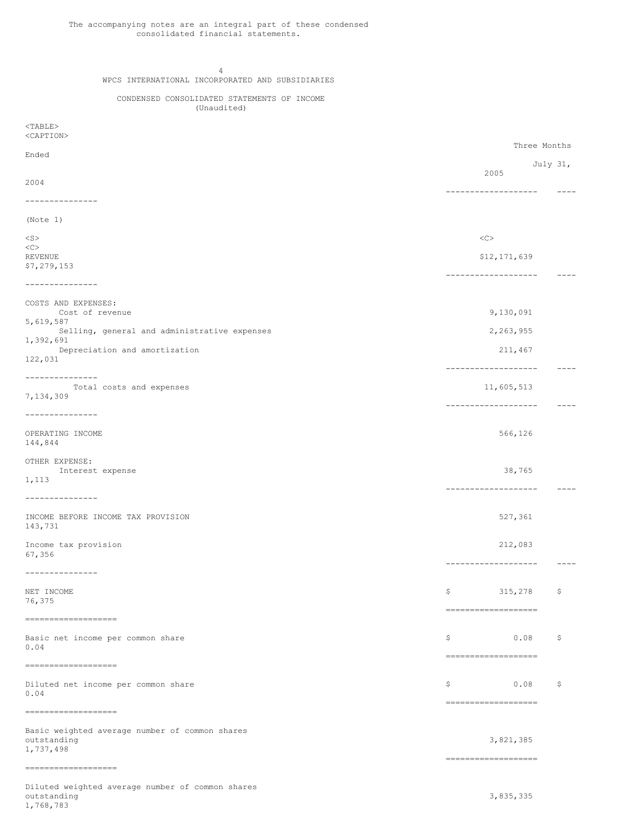4

# WPCS INTERNATIONAL INCORPORATED AND SUBSIDIARIES

# CONDENSED CONSOLIDATED STATEMENTS OF INCOME (Unaudited)

| <caption></caption>                                                                    |                                      | Three Months |
|----------------------------------------------------------------------------------------|--------------------------------------|--------------|
| Ended                                                                                  |                                      | July $31$ ,  |
| 2004                                                                                   | 2005<br>-------------------          |              |
| ---------------                                                                        |                                      |              |
| (Note 1)                                                                               |                                      |              |
| $<$ S>                                                                                 | <<                                   |              |
| <<<br><b>REVENUE</b><br>\$7,279,153                                                    | \$12,171,639                         |              |
| --------------                                                                         | -------------------                  | $---$        |
| COSTS AND EXPENSES:<br>Cost of revenue                                                 | 9,130,091                            |              |
| 5,619,587<br>Selling, general and administrative expenses                              | 2,263,955                            |              |
| 1,392,691<br>Depreciation and amortization<br>122,031                                  | 211,467                              |              |
| ---------------<br>Total costs and expenses<br>7,134,309                               | -------------------<br>11,605,513    |              |
| . _ _ _ _ _ _ _ _ _ _ _ _ _ _                                                          | -------------------                  |              |
| OPERATING INCOME<br>144,844                                                            | 566,126                              |              |
| OTHER EXPENSE:<br>Interest expense<br>1,113                                            | 38,765                               |              |
| ---------------                                                                        | -------------------                  |              |
| INCOME BEFORE INCOME TAX PROVISION<br>143,731                                          | 527,361                              |              |
| Income tax provision<br>67,356                                                         | 212,083                              |              |
| ---------------                                                                        | -------------------                  |              |
| NET INCOME<br>76,375                                                                   | \$<br>315,278<br>=================== | \$           |
| ===================                                                                    |                                      |              |
| Basic net income per common share<br>0.04                                              | \$<br>===================            | 0.08<br>\$   |
| --------------------<br>Diluted net income per common share                            | \$                                   | 0.08<br>\$   |
| 0.04<br>===================                                                            | ===================                  |              |
| Basic weighted average number of common shares<br>outstanding<br>1,737,498             | 3,821,385<br>====================    |              |
| ===================<br>Diluted weighted average number of common shares<br>outstanding | 3,835,335                            |              |

1,768,783

<TABLE>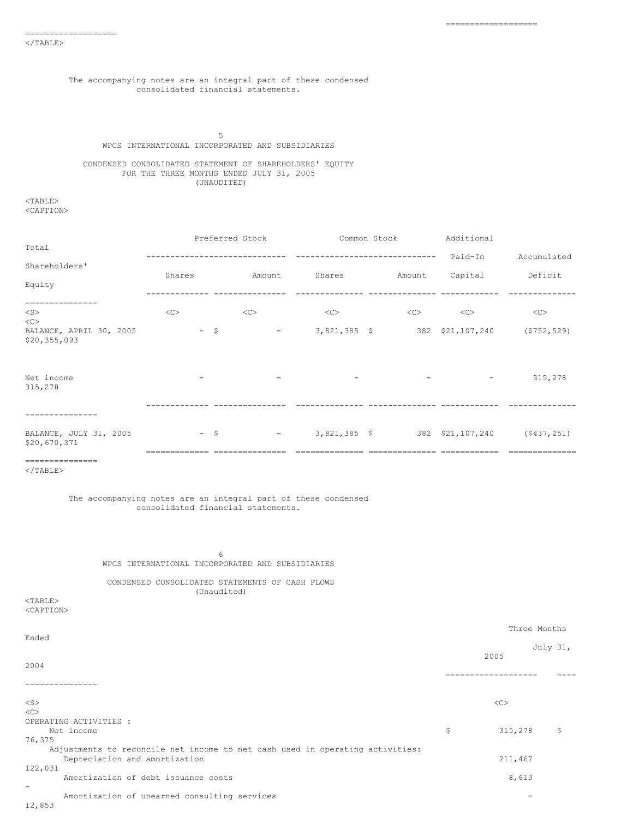# The accompanying notes are an integral part of these condensed consolidated financial statements.

5 WPCS INTERNATIONAL INCORPORATED AND SUBSIDIARIES

# CONDENSED CONSOLIDATED STATEMENT OF SHAREHOLDERS' EQUITY FOR THE THREE MONTHS ENDED JULY 31, 2005 (UNAUDITED)

<TABLE> <CAPTION>

| Total                                         | Preferred Stock<br>Common Stock |                          | Additional       |                          |                  |               |
|-----------------------------------------------|---------------------------------|--------------------------|------------------|--------------------------|------------------|---------------|
|                                               |                                 |                          |                  |                          | Paid-In          | Accumulated   |
| Shareholders'                                 |                                 |                          |                  |                          |                  |               |
| Equity                                        | Shares                          | Amount                   | Shares           | Amount                   | Capital          | Deficit       |
|                                               |                                 |                          |                  |                          |                  |               |
| $<$ S $>$                                     | <<                              | <<                       | $<<$ $<$ $<$ $>$ | <<                       | <<               | <<            |
| <<<br>BALANCE, APRIL 30, 2005<br>\$20,355,093 | $-$ \$                          | $\overline{\phantom{a}}$ | $3,821,385$ \$   |                          | 382 \$21,107,240 | ( \$752, 529) |
| Net income<br>315,278                         |                                 |                          |                  | $\overline{\phantom{a}}$ |                  | 315,278       |
|                                               |                                 |                          |                  |                          |                  |               |
| BALANCE, JULY 31, 2005<br>\$20,670,371        | $-$ \$                          | $\overline{\phantom{m}}$ | $3,821,385$ \$   |                          | 382 \$21,107,240 | ( \$437, 251) |

=============== </TABLE>

> The accompanying notes are an integral part of these condensed consolidated financial statements.

> > 6 WPCS INTERNATIONAL INCORPORATED AND SUBSIDIARIES

CONDENSED CONSOLIDATED STATEMENTS OF CASH FLOWS (Unaudited)

<TABLE> <CAPTION>

```
Three Months
Ended
                                                                                          July 31,
                                                                                  2005
2004
                                                                           ------------------- ----
---------------
<S> <C>
<<sub>OPERATING ACTIVITIES :<br>Net income
                                                                           $315,278 $
76,375
   Adjustments to reconcile net income to net cash used in operating activities:
      Depreciation and amortization 211,467
122,031
     Amortization of debt issuance costs 8,613
-
      Amortization of unearned consulting services expressions of the services of the service of the services of the services of the services of the service of the service of the service of the service of the service of the serv
12,853
```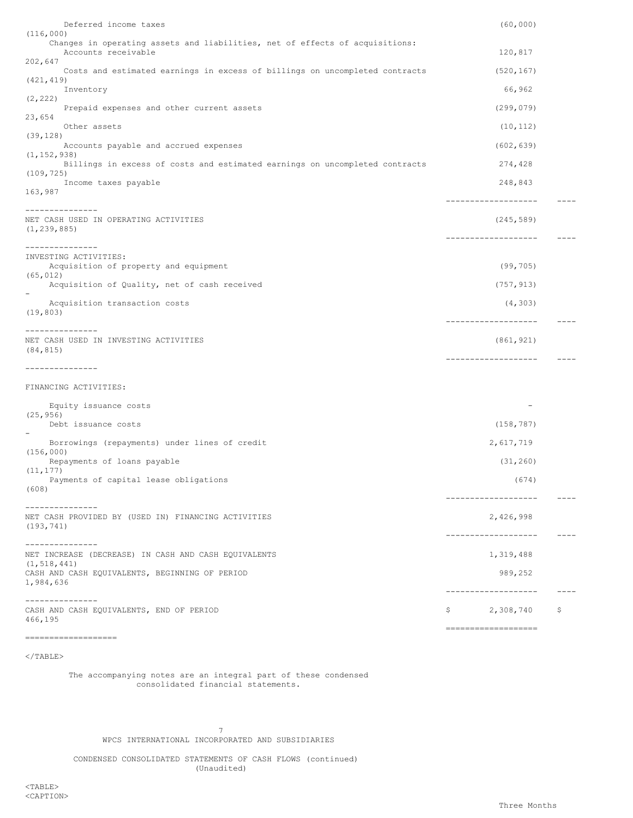| ====================                                                                                           |                                         |             |
|----------------------------------------------------------------------------------------------------------------|-----------------------------------------|-------------|
| ---------------<br>CASH AND CASH EQUIVALENTS, END OF PERIOD<br>466,195                                         | 2,308,740<br>Ş.<br>==================== | \$.         |
| (1, 518, 441)<br>CASH AND CASH EQUIVALENTS, BEGINNING OF PERIOD<br>1,984,636                                   | 989,252<br>-------------------          | $---$       |
| ---------------<br>NET INCREASE (DECREASE) IN CASH AND CASH EQUIVALENTS                                        | 1,319,488                               |             |
| ---------------<br>NET CASH PROVIDED BY (USED IN) FINANCING ACTIVITIES<br>(193, 741)                           | 2,426,998<br>-------------------        | $- - - - -$ |
| Payments of capital lease obligations<br>(608)                                                                 | (674)<br>-------------------            | $----$      |
| (11, 177)                                                                                                      |                                         |             |
| (156,000)<br>Repayments of loans payable                                                                       | (31, 260)                               |             |
| Borrowings (repayments) under lines of credit                                                                  | 2,617,719                               |             |
| (25, 956)<br>Debt issuance costs                                                                               | (158, 787)                              |             |
| Equity issuance costs                                                                                          |                                         |             |
| FINANCING ACTIVITIES:                                                                                          |                                         |             |
| --------------                                                                                                 | -------------------                     |             |
| --------------<br>NET CASH USED IN INVESTING ACTIVITIES<br>(84, 815)                                           | (861, 921)                              |             |
| Acquisition transaction costs<br>(19, 803)                                                                     | (4, 303)<br>-------------------         |             |
|                                                                                                                |                                         |             |
| Acquisition of property and equipment<br>(65, 012)<br>Acquisition of Quality, net of cash received             | (99, 705)<br>(757, 913)                 |             |
| ---------------<br>INVESTING ACTIVITIES:                                                                       | -------------------                     |             |
| _______________<br>NET CASH USED IN OPERATING ACTIVITIES<br>(1, 239, 885)                                      | (245, 589)                              |             |
| Income taxes payable<br>163,987                                                                                | 248,843<br>-------------------          | $- - - - -$ |
| Billings in excess of costs and estimated earnings on uncompleted contracts<br>(109, 725)                      | 274,428                                 |             |
| Accounts payable and accrued expenses<br>(1, 152, 938)                                                         | (602, 639)                              |             |
| Other assets<br>(39, 128)                                                                                      | (10, 112)                               |             |
| Prepaid expenses and other current assets<br>23,654                                                            | (299, 079)                              |             |
| Inventory<br>(2, 222)                                                                                          | 66,962                                  |             |
| Costs and estimated earnings in excess of billings on uncompleted contracts<br>(421, 419)                      | (520, 167)                              |             |
| Changes in operating assets and liabilities, net of effects of acquisitions:<br>Accounts receivable<br>202,647 | 120,817                                 |             |
| Deferred income taxes<br>(116,000)                                                                             | (60, 000)                               |             |
|                                                                                                                |                                         |             |

# $<$ /TABLE>

The accompanying notes are an integral part of these condensed consolidated financial statements.

> 7 WPCS INTERNATIONAL INCORPORATED AND SUBSIDIARIES

CONDENSED CONSOLIDATED STATEMENTS OF CASH FLOWS (continued) (Unaudited)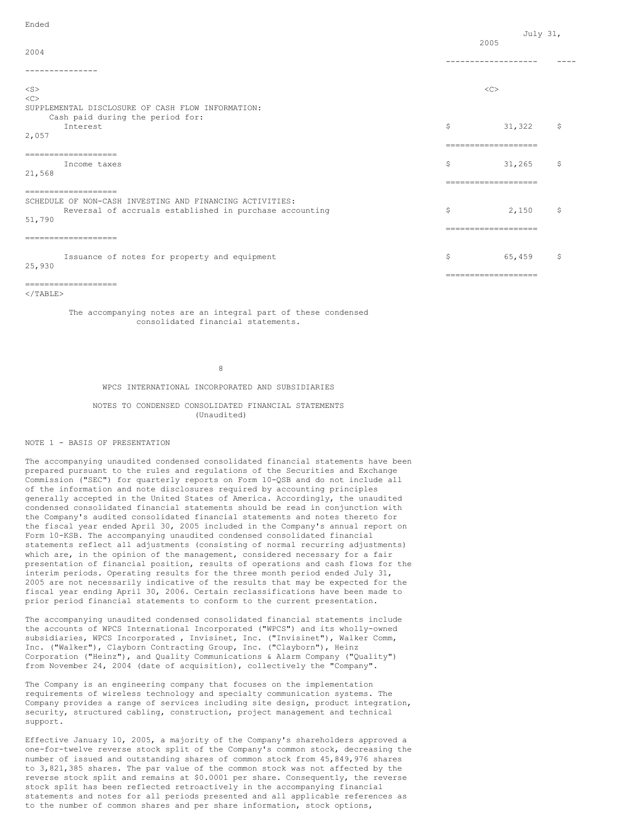| nnaea                                                                                                                         |    | July 31,<br>2005             |    |
|-------------------------------------------------------------------------------------------------------------------------------|----|------------------------------|----|
| 2004                                                                                                                          |    |                              |    |
|                                                                                                                               |    |                              |    |
| $<$ S $>$<br>$\langle C \rangle$                                                                                              |    | $<$ C $>$                    |    |
| SUPPLEMENTAL DISCLOSURE OF CASH FLOW INFORMATION:<br>Cash paid during the period for:                                         |    |                              |    |
| <b>Tnterest</b><br>2,057                                                                                                      | \$ | 31,322                       | \$ |
| -------------------                                                                                                           |    | ====================         |    |
| Income taxes<br>21,568                                                                                                        | S  | 31,265                       | S  |
| -------------------                                                                                                           |    | ====================         |    |
| SCHEDULE OF NON-CASH INVESTING AND FINANCING ACTIVITIES:<br>Reversal of accruals established in purchase accounting<br>51,790 | \$ | 2,150<br>------------------- | S  |
| ====================                                                                                                          |    |                              |    |
| Issuance of notes for property and equipment<br>25,930                                                                        | \$ | 65,459                       | \$ |
|                                                                                                                               |    | ====================         |    |

 $<$ /TABLE $>$ 

===================

Ended

The accompanying notes are an integral part of these condensed consolidated financial statements.

8

#### WPCS INTERNATIONAL INCORPORATED AND SUBSIDIARIES

NOTES TO CONDENSED CONSOLIDATED FINANCIAL STATEMENTS (Unaudited)

# NOTE 1 - BASIS OF PRESENTATION

The accompanying unaudited condensed consolidated financial statements have been prepared pursuant to the rules and regulations of the Securities and Exchange Commission ("SEC") for quarterly reports on Form 10-QSB and do not include all of the information and note disclosures required by accounting principles generally accepted in the United States of America. Accordingly, the unaudited condensed consolidated financial statements should be read in conjunction with the Company's audited consolidated financial statements and notes thereto for the fiscal year ended April 30, 2005 included in the Company's annual report on Form 10-KSB. The accompanying unaudited condensed consolidated financial statements reflect all adjustments (consisting of normal recurring adjustments) which are, in the opinion of the management, considered necessary for a fair presentation of financial position, results of operations and cash flows for the interim periods. Operating results for the three month period ended July 31, 2005 are not necessarily indicative of the results that may be expected for the fiscal year ending April 30, 2006. Certain reclassifications have been made to prior period financial statements to conform to the current presentation.

The accompanying unaudited condensed consolidated financial statements include the accounts of WPCS International Incorporated ("WPCS") and its wholly-owned subsidiaries, WPCS Incorporated , Invisinet, Inc. ("Invisinet"), Walker Comm, Inc. ("Walker"), Clayborn Contracting Group, Inc. ("Clayborn"), Heinz Corporation ("Heinz"), and Quality Communications & Alarm Company ("Quality") from November 24, 2004 (date of acquisition), collectively the "Company".

The Company is an engineering company that focuses on the implementation requirements of wireless technology and specialty communication systems. The Company provides a range of services including site design, product integration, security, structured cabling, construction, project management and technical support.

Effective January 10, 2005, a majority of the Company's shareholders approved a one-for-twelve reverse stock split of the Company's common stock, decreasing the number of issued and outstanding shares of common stock from 45,849,976 shares to 3,821,385 shares. The par value of the common stock was not affected by the reverse stock split and remains at \$0.0001 per share. Consequently, the reverse stock split has been reflected retroactively in the accompanying financial statements and notes for all periods presented and all applicable references as to the number of common shares and per share information, stock options,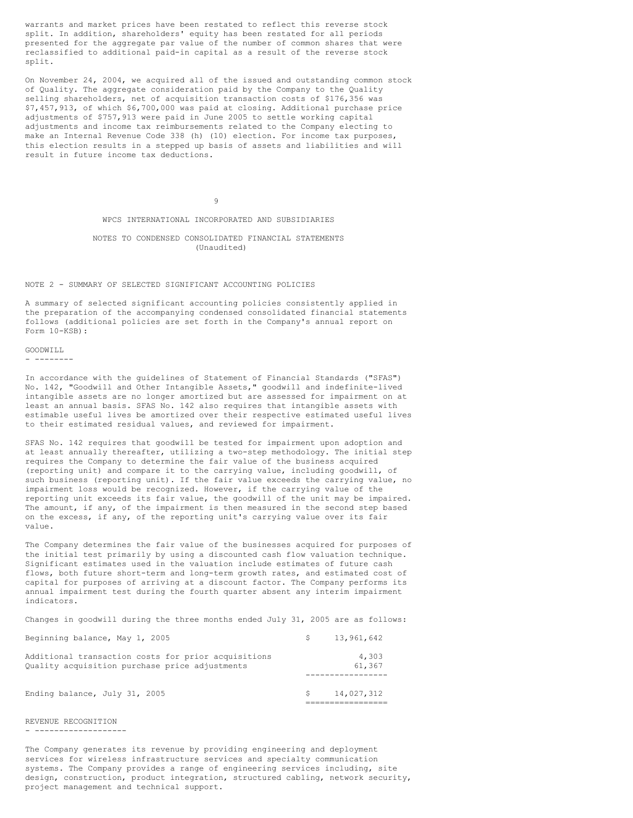warrants and market prices have been restated to reflect this reverse stock split. In addition, shareholders' equity has been restated for all periods presented for the aggregate par value of the number of common shares that were reclassified to additional paid-in capital as a result of the reverse stock split.

On November 24, 2004, we acquired all of the issued and outstanding common stock of Quality. The aggregate consideration paid by the Company to the Quality selling shareholders, net of acquisition transaction costs of \$176,356 was \$7,457,913, of which \$6,700,000 was paid at closing. Additional purchase price adjustments of \$757,913 were paid in June 2005 to settle working capital adjustments and income tax reimbursements related to the Company electing to make an Internal Revenue Code 338 (h) (10) election. For income tax purposes, this election results in a stepped up basis of assets and liabilities and will result in future income tax deductions.

9

#### WPCS INTERNATIONAL INCORPORATED AND SUBSIDIARIES

#### NOTES TO CONDENSED CONSOLIDATED FINANCIAL STATEMENTS (Unaudited)

#### NOTE 2 - SUMMARY OF SELECTED SIGNIFICANT ACCOUNTING POLICIES

A summary of selected significant accounting policies consistently applied in the preparation of the accompanying condensed consolidated financial statements follows (additional policies are set forth in the Company's annual report on Form 10-KSB):

#### GOODWILL

- --------

In accordance with the guidelines of Statement of Financial Standards ("SFAS") No. 142, "Goodwill and Other Intangible Assets," goodwill and indefinite-lived intangible assets are no longer amortized but are assessed for impairment on at least an annual basis. SFAS No. 142 also requires that intangible assets with estimable useful lives be amortized over their respective estimated useful lives to their estimated residual values, and reviewed for impairment.

SFAS No. 142 requires that goodwill be tested for impairment upon adoption and at least annually thereafter, utilizing a two-step methodology. The initial step requires the Company to determine the fair value of the business acquired (reporting unit) and compare it to the carrying value, including goodwill, of such business (reporting unit). If the fair value exceeds the carrying value, no impairment loss would be recognized. However, if the carrying value of the reporting unit exceeds its fair value, the goodwill of the unit may be impaired. The amount, if any, of the impairment is then measured in the second step based on the excess, if any, of the reporting unit's carrying value over its fair value.

The Company determines the fair value of the businesses acquired for purposes of the initial test primarily by using a discounted cash flow valuation technique. Significant estimates used in the valuation include estimates of future cash flows, both future short-term and long-term growth rates, and estimated cost of capital for purposes of arriving at a discount factor. The Company performs its annual impairment test during the fourth quarter absent any interim impairment indicators.

Changes in goodwill during the three months ended July 31, 2005 are as follows:

| Beginning balance, May 1, 2005                                                                        |    | 13,961,642      |
|-------------------------------------------------------------------------------------------------------|----|-----------------|
| Additional transaction costs for prior acquisitions<br>Quality acquisition purchase price adjustments |    | 4,303<br>61,367 |
| Ending balance, July 31, 2005                                                                         | S. | 14,027,312      |

REVENUE RECOGNITION - -------------------

The Company generates its revenue by providing engineering and deployment services for wireless infrastructure services and specialty communication systems. The Company provides a range of engineering services including, site design, construction, product integration, structured cabling, network security, project management and technical support.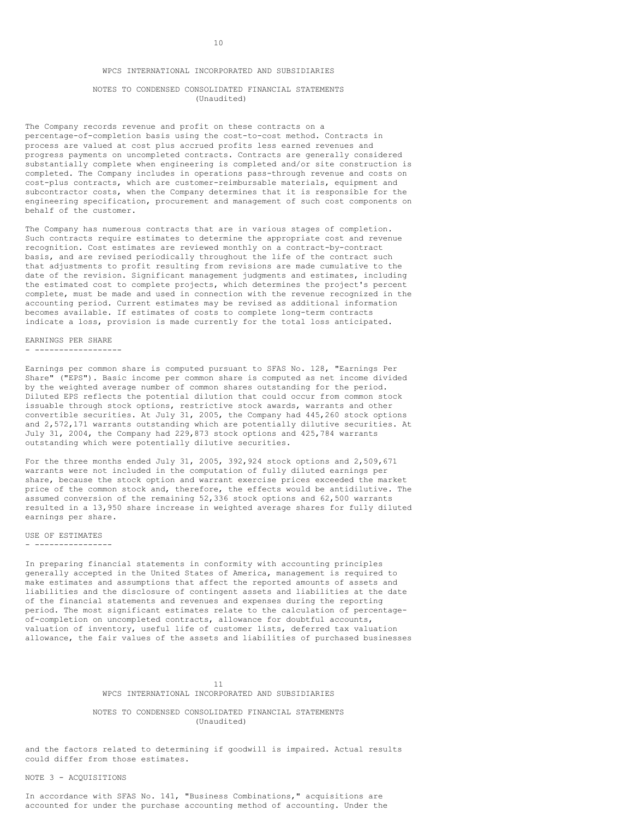#### WPCS INTERNATIONAL INCORPORATED AND SUBSIDIARIES

#### NOTES TO CONDENSED CONSOLIDATED FINANCIAL STATEMENTS (Unaudited)

The Company records revenue and profit on these contracts on a percentage-of-completion basis using the cost-to-cost method. Contracts in process are valued at cost plus accrued profits less earned revenues and progress payments on uncompleted contracts. Contracts are generally considered substantially complete when engineering is completed and/or site construction is completed. The Company includes in operations pass-through revenue and costs on cost-plus contracts, which are customer-reimbursable materials, equipment and subcontractor costs, when the Company determines that it is responsible for the engineering specification, procurement and management of such cost components on behalf of the customer.

The Company has numerous contracts that are in various stages of completion. Such contracts require estimates to determine the appropriate cost and revenue recognition. Cost estimates are reviewed monthly on a contract-by-contract basis, and are revised periodically throughout the life of the contract such that adjustments to profit resulting from revisions are made cumulative to the date of the revision. Significant management judgments and estimates, including the estimated cost to complete projects, which determines the project's percent complete, must be made and used in connection with the revenue recognized in the accounting period. Current estimates may be revised as additional information becomes available. If estimates of costs to complete long-term contracts indicate a loss, provision is made currently for the total loss anticipated.

#### EARNINGS PER SHARE

- ------------------

Earnings per common share is computed pursuant to SFAS No. 128, "Earnings Per Share" ("EPS"). Basic income per common share is computed as net income divided by the weighted average number of common shares outstanding for the period. Diluted EPS reflects the potential dilution that could occur from common stock issuable through stock options, restrictive stock awards, warrants and other convertible securities. At July 31, 2005, the Company had 445,260 stock options and 2,572,171 warrants outstanding which are potentially dilutive securities. At July 31, 2004, the Company had 229,873 stock options and 425,784 warrants outstanding which were potentially dilutive securities.

For the three months ended July 31, 2005, 392,924 stock options and 2,509,671 warrants were not included in the computation of fully diluted earnings per share, because the stock option and warrant exercise prices exceeded the market price of the common stock and, therefore, the effects would be antidilutive. The assumed conversion of the remaining 52,336 stock options and 62,500 warrants resulted in a 13,950 share increase in weighted average shares for fully diluted earnings per share.

# USE OF ESTIMATES

- ----------------

In preparing financial statements in conformity with accounting principles generally accepted in the United States of America, management is required to make estimates and assumptions that affect the reported amounts of assets and liabilities and the disclosure of contingent assets and liabilities at the date of the financial statements and revenues and expenses during the reporting period. The most significant estimates relate to the calculation of percentageof-completion on uncompleted contracts, allowance for doubtful accounts, valuation of inventory, useful life of customer lists, deferred tax valuation allowance, the fair values of the assets and liabilities of purchased businesses

> 11 WPCS INTERNATIONAL INCORPORATED AND SUBSIDIARIES

NOTES TO CONDENSED CONSOLIDATED FINANCIAL STATEMENTS (Unaudited)

and the factors related to determining if goodwill is impaired. Actual results could differ from those estimates.

#### NOTE 3 - ACQUISITIONS

In accordance with SFAS No. 141, "Business Combinations," acquisitions are accounted for under the purchase accounting method of accounting. Under the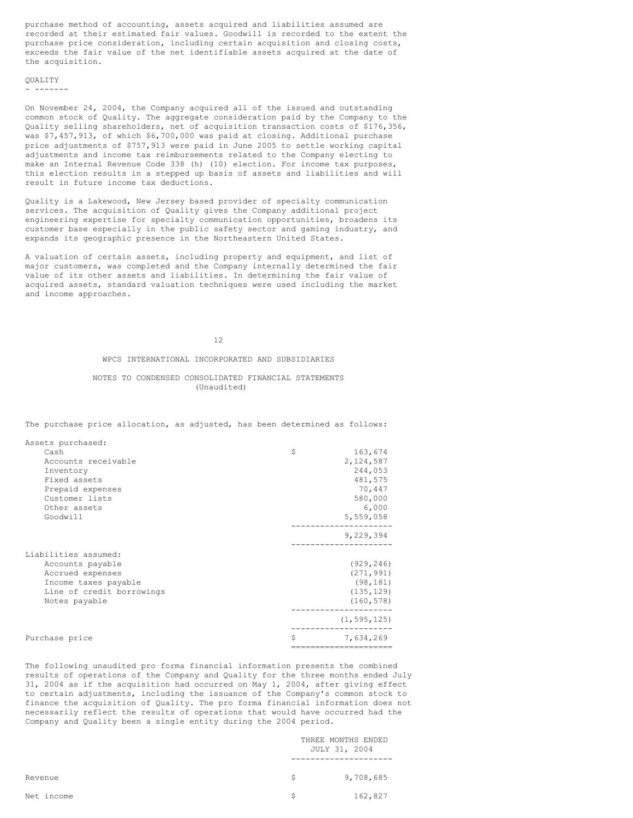purchase method of accounting, assets acquired and liabilities assumed are recorded at their estimated fair values. Goodwill is recorded to the extent the purchase price consideration, including certain acquisition and closing costs, exceeds the fair value of the net identifiable assets acquired at the date of the acquisition.

QUALITY

- -------

On November 24, 2004, the Company acquired all of the issued and outstanding common stock of Quality. The aggregate consideration paid by the Company to the Quality selling shareholders, net of acquisition transaction costs of \$176,356, was \$7,457,913, of which \$6,700,000 was paid at closing. Additional purchase price adjustments of \$757,913 were paid in June 2005 to settle working capital adjustments and income tax reimbursements related to the Company electing to make an Internal Revenue Code 338 (h) (10) election. For income tax purposes, this election results in a stepped up basis of assets and liabilities and will result in future income tax deductions.

Quality is a Lakewood, New Jersey based provider of specialty communication services. The acquisition of Quality gives the Company additional project engineering expertise for specialty communication opportunities, broadens its customer base especially in the public safety sector and gaming industry, and expands its geographic presence in the Northeastern United States.

A valuation of certain assets, including property and equipment, and list of major customers, was completed and the Company internally determined the fair value of its other assets and liabilities. In determining the fair value of acquired assets, standard valuation techniques were used including the market and income approaches.

12

#### WPCS INTERNATIONAL INCORPORATED AND SUBSIDIARIES

#### NOTES TO CONDENSED CONSOLIDATED FINANCIAL STATEMENTS (Unaudited)

The purchase price allocation, as adjusted, has been determined as follows:

| Assets purchased:         |                                     |
|---------------------------|-------------------------------------|
| Cash                      | \$<br>163,674                       |
| Accounts receivable       | 2,124,587                           |
| Inventory                 | 244,053                             |
| Fixed assets              | 481,575                             |
| Prepaid expenses          | 70,447                              |
| Customer lists            | 580,000                             |
| Other assets              | 6,000                               |
| Goodwill                  | 5,559,058                           |
|                           | 9,229,394                           |
| Liabilities assumed:      |                                     |
| Accounts payable          | (929, 246)                          |
| Accrued expenses          | (271, 991)                          |
| Income taxes payable      | (98, 181)                           |
| Line of credit borrowings | (135, 129)                          |
| Notes payable             | (160, 578)                          |
|                           | (1, 595, 125)                       |
| Purchase price            | \$<br>7,634,269<br>---------------- |
|                           |                                     |

The following unaudited pro forma financial information presents the combined results of operations of the Company and Quality for the three months ended July 31, 2004 as if the acquisition had occurred on May 1, 2004, after giving effect to certain adjustments, including the issuance of the Company's common stock to finance the acquisition of Quality. The pro forma financial information does not necessarily reflect the results of operations that would have occurred had the Company and Quality been a single entity during the 2004 period.

|            |    | THREE MONTHS ENDED<br>JULY 31, 2004 |  |
|------------|----|-------------------------------------|--|
|            |    |                                     |  |
| Revenue    | S. | 9,708,685                           |  |
| Net income | S  | 162,827                             |  |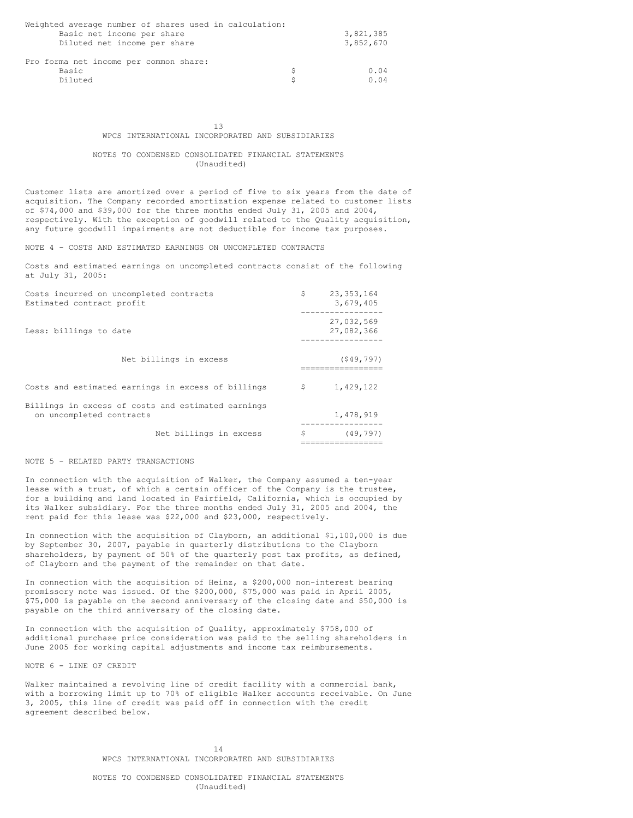| Weighted average number of shares used in calculation: |   |           |
|--------------------------------------------------------|---|-----------|
| Basic net income per share                             |   | 3.821.385 |
| Diluted net income per share                           |   | 3,852,670 |
| Pro forma net income per common share:                 |   |           |
| Basic                                                  | S | 0.04      |
| Diluted                                                | S | 0.04      |

13 WPCS INTERNATIONAL INCORPORATED AND SUBSIDIARIES

#### NOTES TO CONDENSED CONSOLIDATED FINANCIAL STATEMENTS (Unaudited)

Customer lists are amortized over a period of five to six years from the date of acquisition. The Company recorded amortization expense related to customer lists of \$74,000 and \$39,000 for the three months ended July 31, 2005 and 2004, respectively. With the exception of goodwill related to the Quality acquisition, any future goodwill impairments are not deductible for income tax purposes.

NOTE 4 - COSTS AND ESTIMATED EARNINGS ON UNCOMPLETED CONTRACTS

Costs and estimated earnings on uncompleted contracts consist of the following at July 31, 2005:

| Costs incurred on uncompleted contracts<br>Estimated contract profit           | \$           | 23, 353, 164<br>3,679,405 |
|--------------------------------------------------------------------------------|--------------|---------------------------|
| Less: billings to date                                                         |              | 27,032,569<br>27,082,366  |
| Net billings in excess                                                         |              | (549, 797)                |
| Costs and estimated earnings in excess of billings                             | $\mathsf{S}$ | 1,429,122                 |
| Billings in excess of costs and estimated earnings<br>on uncompleted contracts |              | 1,478,919                 |
| Net billings in excess                                                         | \$           | (49, 797)                 |

#### NOTE 5 - RELATED PARTY TRANSACTIONS

In connection with the acquisition of Walker, the Company assumed a ten-year lease with a trust, of which a certain officer of the Company is the trustee, for a building and land located in Fairfield, California, which is occupied by its Walker subsidiary. For the three months ended July 31, 2005 and 2004, the rent paid for this lease was \$22,000 and \$23,000, respectively.

In connection with the acquisition of Clayborn, an additional \$1,100,000 is due by September 30, 2007, payable in quarterly distributions to the Clayborn shareholders, by payment of 50% of the quarterly post tax profits, as defined, of Clayborn and the payment of the remainder on that date.

In connection with the acquisition of Heinz, a \$200,000 non-interest bearing promissory note was issued. Of the \$200,000, \$75,000 was paid in April 2005, \$75,000 is payable on the second anniversary of the closing date and \$50,000 is payable on the third anniversary of the closing date.

In connection with the acquisition of Quality, approximately \$758,000 of additional purchase price consideration was paid to the selling shareholders in June 2005 for working capital adjustments and income tax reimbursements.

NOTE 6 - LINE OF CREDIT

Walker maintained a revolving line of credit facility with a commercial bank, with a borrowing limit up to 70% of eligible Walker accounts receivable. On June 3, 2005, this line of credit was paid off in connection with the credit agreement described below.

NOTES TO CONDENSED CONSOLIDATED FINANCIAL STATEMENTS (Unaudited)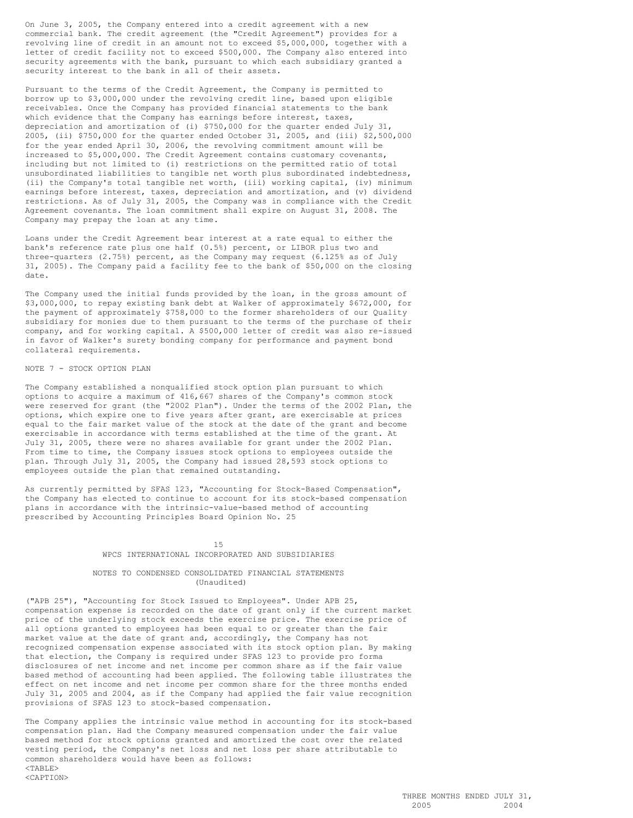On June 3, 2005, the Company entered into a credit agreement with a new commercial bank. The credit agreement (the "Credit Agreement") provides for a revolving line of credit in an amount not to exceed \$5,000,000, together with a letter of credit facility not to exceed \$500,000. The Company also entered into security agreements with the bank, pursuant to which each subsidiary granted a security interest to the bank in all of their assets.

Pursuant to the terms of the Credit Agreement, the Company is permitted to borrow up to \$3,000,000 under the revolving credit line, based upon eligible receivables. Once the Company has provided financial statements to the bank which evidence that the Company has earnings before interest, taxes, depreciation and amortization of (i) \$750,000 for the quarter ended July 31, 2005, (ii) \$750,000 for the quarter ended October 31, 2005, and (iii) \$2,500,000 for the year ended April 30, 2006, the revolving commitment amount will be increased to \$5,000,000. The Credit Agreement contains customary covenants, including but not limited to (i) restrictions on the permitted ratio of total unsubordinated liabilities to tangible net worth plus subordinated indebtedness, (ii) the Company's total tangible net worth, (iii) working capital, (iv) minimum earnings before interest, taxes, depreciation and amortization, and (v) dividend restrictions. As of July 31, 2005, the Company was in compliance with the Credit Agreement covenants. The loan commitment shall expire on August 31, 2008. The Company may prepay the loan at any time.

Loans under the Credit Agreement bear interest at a rate equal to either the bank's reference rate plus one half (0.5%) percent, or LIBOR plus two and three-quarters (2.75%) percent, as the Company may request (6.125% as of July 31, 2005). The Company paid a facility fee to the bank of \$50,000 on the closing date.

The Company used the initial funds provided by the loan, in the gross amount of \$3,000,000, to repay existing bank debt at Walker of approximately \$672,000, for the payment of approximately \$758,000 to the former shareholders of our Quality subsidiary for monies due to them pursuant to the terms of the purchase of their company, and for working capital. A \$500,000 letter of credit was also re-issued in favor of Walker's surety bonding company for performance and payment bond collateral requirements.

NOTE 7 - STOCK OPTION PLAN

The Company established a nonqualified stock option plan pursuant to which options to acquire a maximum of 416,667 shares of the Company's common stock were reserved for grant (the "2002 Plan"). Under the terms of the 2002 Plan, the options, which expire one to five years after grant, are exercisable at prices equal to the fair market value of the stock at the date of the grant and become exercisable in accordance with terms established at the time of the grant. At July 31, 2005, there were no shares available for grant under the 2002 Plan. From time to time, the Company issues stock options to employees outside the plan. Through July 31, 2005, the Company had issued 28,593 stock options to employees outside the plan that remained outstanding.

As currently permitted by SFAS 123, "Accounting for Stock-Based Compensation", the Company has elected to continue to account for its stock-based compensation plans in accordance with the intrinsic-value-based method of accounting prescribed by Accounting Principles Board Opinion No. 25

> 15 WPCS INTERNATIONAL INCORPORATED AND SUBSIDIARIES

#### NOTES TO CONDENSED CONSOLIDATED FINANCIAL STATEMENTS (Unaudited)

("APB 25"), "Accounting for Stock Issued to Employees". Under APB 25, compensation expense is recorded on the date of grant only if the current market price of the underlying stock exceeds the exercise price. The exercise price of all options granted to employees has been equal to or greater than the fair market value at the date of grant and, accordingly, the Company has not recognized compensation expense associated with its stock option plan. By making that election, the Company is required under SFAS 123 to provide pro forma disclosures of net income and net income per common share as if the fair value based method of accounting had been applied. The following table illustrates the effect on net income and net income per common share for the three months ended July 31, 2005 and 2004, as if the Company had applied the fair value recognition provisions of SFAS 123 to stock-based compensation.

The Company applies the intrinsic value method in accounting for its stock-based compensation plan. Had the Company measured compensation under the fair value based method for stock options granted and amortized the cost over the related vesting period, the Company's net loss and net loss per share attributable to common shareholders would have been as follows:  $<$ TABLE $>$ 

<CAPTION>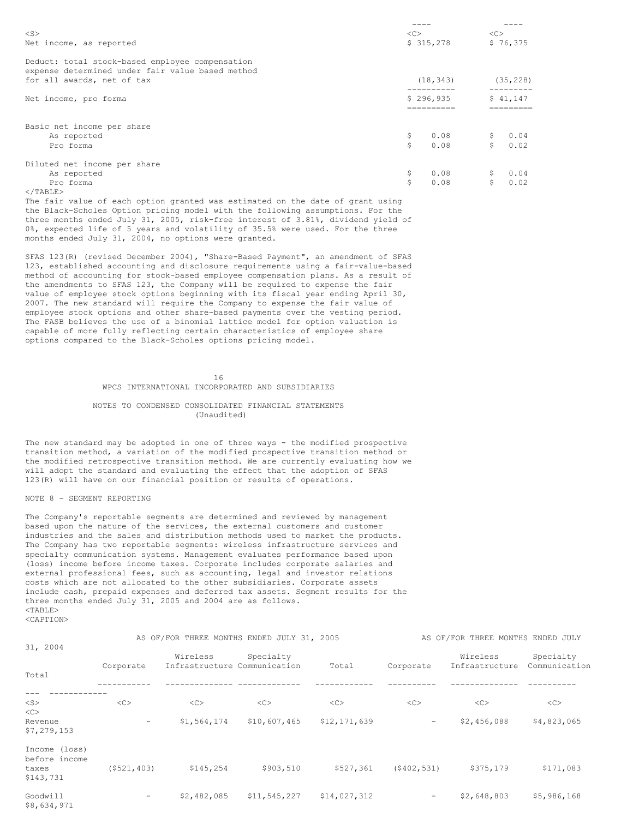| $<$ S $>$                                                                                           | <<>        | <<         |
|-----------------------------------------------------------------------------------------------------|------------|------------|
| Net income, as reported                                                                             | \$315,278  | \$76,375   |
| Deduct: total stock-based employee compensation<br>expense determined under fair value based method |            |            |
| for all awards, net of tax                                                                          | (18, 343)  | (35, 228)  |
|                                                                                                     |            |            |
| Net income, pro forma                                                                               | \$296,935  | \$41,147   |
|                                                                                                     |            |            |
| Basic net income per share                                                                          |            |            |
| As reported                                                                                         | \$<br>0.08 | \$ 0.04    |
| Pro forma                                                                                           | \$<br>0.08 | \$0.02     |
| Diluted net income per share                                                                        |            |            |
| As reported                                                                                         | 0.08<br>\$ | \$0.04     |
| Pro forma                                                                                           | \$<br>0.08 | \$<br>0.02 |
| $\langle$ /TARLE $>$                                                                                |            |            |

The fair value of each option granted was estimated on the date of grant using the Black-Scholes Option pricing model with the following assumptions. For the three months ended July 31, 2005, risk-free interest of 3.81%, dividend yield of 0%, expected life of 5 years and volatility of 35.5% were used. For the three months ended July 31, 2004, no options were granted.

SFAS 123(R) (revised December 2004), "Share-Based Payment", an amendment of SFAS 123, established accounting and disclosure requirements using a fair-value-based method of accounting for stock-based employee compensation plans. As a result of the amendments to SFAS 123, the Company will be required to expense the fair value of employee stock options beginning with its fiscal year ending April 30, 2007. The new standard will require the Company to expense the fair value of employee stock options and other share-based payments over the vesting period. The FASB believes the use of a binomial lattice model for option valuation is capable of more fully reflecting certain characteristics of employee share options compared to the Black-Scholes options pricing model.

> 16 WPCS INTERNATIONAL INCORPORATED AND SUBSIDIARIES

NOTES TO CONDENSED CONSOLIDATED FINANCIAL STATEMENTS (Unaudited)

The new standard may be adopted in one of three ways - the modified prospective transition method, a variation of the modified prospective transition method or the modified retrospective transition method. We are currently evaluating how we will adopt the standard and evaluating the effect that the adoption of SFAS 123(R) will have on our financial position or results of operations.

### NOTE 8 - SEGMENT REPORTING

The Company's reportable segments are determined and reviewed by management based upon the nature of the services, the external customers and customer industries and the sales and distribution methods used to market the products. The Company has two reportable segments: wireless infrastructure services and specialty communication systems. Management evaluates performance based upon (loss) income before income taxes. Corporate includes corporate salaries and external professional fees, such as accounting, legal and investor relations costs which are not allocated to the other subsidiaries. Corporate assets include cash, prepaid expenses and deferred tax assets. Segment results for the three months ended July 31, 2005 and 2004 are as follows.  $<$ TABLE $>$ 

<CAPTION>

|                                | AS OF/FOR THREE MONTHS ENDED JULY 31, 2005 |                                          |              | AS OF/FOR THREE MONTHS ENDED JULY |                          |                            |                            |
|--------------------------------|--------------------------------------------|------------------------------------------|--------------|-----------------------------------|--------------------------|----------------------------|----------------------------|
| 31, 2004<br>Total              | Corporate                                  | Wireless<br>Infrastructure Communication | Specialty    | Total                             | Corporate                | Wireless<br>Infrastructure | Specialty<br>Communication |
|                                |                                            |                                          |              |                                   |                          |                            |                            |
| $<$ S $>$<br><<                | <<                                         | <<                                       | <<           | <<                                | <<                       | <<                         | <<                         |
| Revenue<br>\$7,279,153         |                                            | \$1,564,174                              | \$10,607,465 | \$12,171,639                      | $\overline{\phantom{a}}$ | \$2,456,088                | \$4,823,065                |
| Income (loss)<br>before income |                                            |                                          |              |                                   |                          |                            |                            |
| taxes<br>\$143,731             | $($ \$521,403)                             | \$145,254                                | \$903,510    | \$527,361                         | ( \$402, 531)            | \$375,179                  | \$171,083                  |
| Goodwill<br>\$8,634,971        | -                                          | \$2,482,085                              | \$11,545,227 | \$14,027,312                      | $\overline{\phantom{m}}$ | \$2,648,803                | \$5,986,168                |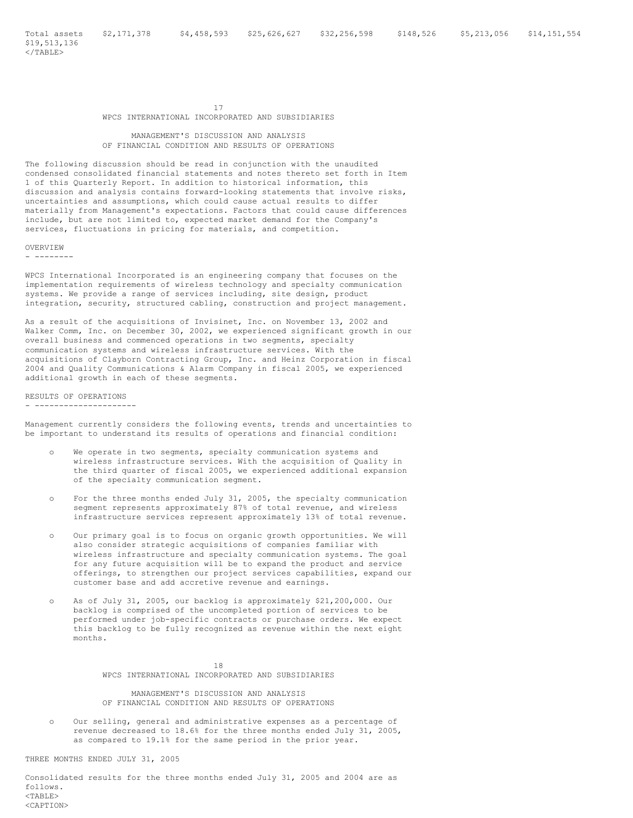17 WPCS INTERNATIONAL INCORPORATED AND SUBSIDIARIES

# MANAGEMENT'S DISCUSSION AND ANALYSIS OF FINANCIAL CONDITION AND RESULTS OF OPERATIONS

The following discussion should be read in conjunction with the unaudited condensed consolidated financial statements and notes thereto set forth in Item 1 of this Quarterly Report. In addition to historical information, this discussion and analysis contains forward-looking statements that involve risks, uncertainties and assumptions, which could cause actual results to differ materially from Management's expectations. Factors that could cause differences include, but are not limited to, expected market demand for the Company's services, fluctuations in pricing for materials, and competition.

**OVERVIEW** 

- --------

WPCS International Incorporated is an engineering company that focuses on the implementation requirements of wireless technology and specialty communication systems. We provide a range of services including, site design, product integration, security, structured cabling, construction and project management.

As a result of the acquisitions of Invisinet, Inc. on November 13, 2002 and Walker Comm, Inc. on December 30, 2002, we experienced significant growth in our overall business and commenced operations in two segments, specialty communication systems and wireless infrastructure services. With the acquisitions of Clayborn Contracting Group, Inc. and Heinz Corporation in fiscal 2004 and Quality Communications & Alarm Company in fiscal 2005, we experienced additional growth in each of these segments.

# RESULTS OF OPERATIONS

- ---------------------

Management currently considers the following events, trends and uncertainties to be important to understand its results of operations and financial condition:

- We operate in two segments, specialty communication systems and wireless infrastructure services. With the acquisition of Quality in the third quarter of fiscal 2005, we experienced additional expansion of the specialty communication segment.
- For the three months ended July 31, 2005, the specialty communication segment represents approximately 87% of total revenue, and wireless infrastructure services represent approximately 13% of total revenue.
- o Our primary goal is to focus on organic growth opportunities. We will also consider strategic acquisitions of companies familiar with wireless infrastructure and specialty communication systems. The goal for any future acquisition will be to expand the product and service offerings, to strengthen our project services capabilities, expand our customer base and add accretive revenue and earnings.
- o As of July 31, 2005, our backlog is approximately \$21,200,000. Our backlog is comprised of the uncompleted portion of services to be performed under job-specific contracts or purchase orders. We expect this backlog to be fully recognized as revenue within the next eight months.

18 WPCS INTERNATIONAL INCORPORATED AND SUBSIDIARIES

MANAGEMENT'S DISCUSSION AND ANALYSIS OF FINANCIAL CONDITION AND RESULTS OF OPERATIONS

o Our selling, general and administrative expenses as a percentage of revenue decreased to 18.6% for the three months ended July 31, 2005, as compared to 19.1% for the same period in the prior year.

THREE MONTHS ENDED JULY 31, 2005

Consolidated results for the three months ended July 31, 2005 and 2004 are as follows.  $<$ TABLE> <CAPTION>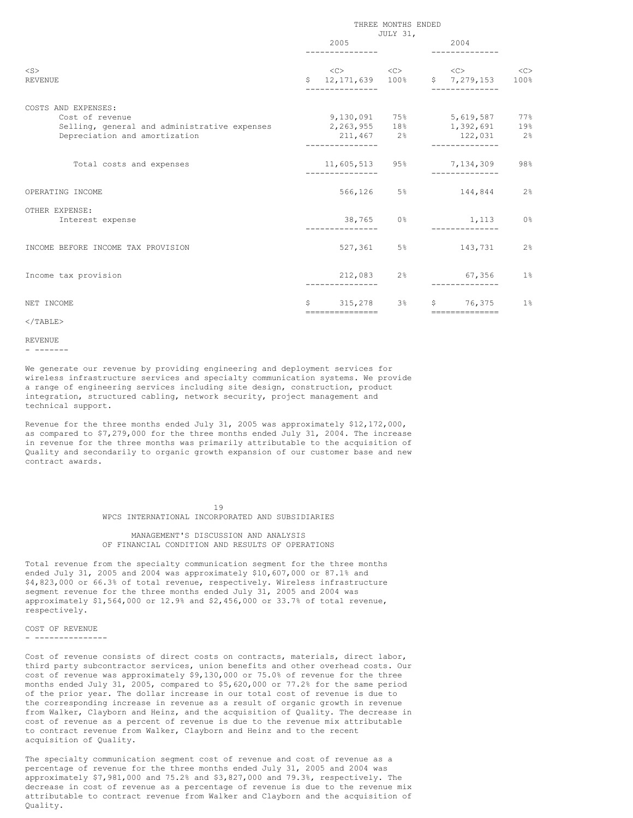|                                                                                                                         | THREE MONTHS ENDED<br>JULY 31, |                                             |  |                                                                                                                                                                                                                                                                                                                                                           |            |
|-------------------------------------------------------------------------------------------------------------------------|--------------------------------|---------------------------------------------|--|-----------------------------------------------------------------------------------------------------------------------------------------------------------------------------------------------------------------------------------------------------------------------------------------------------------------------------------------------------------|------------|
|                                                                                                                         |                                | 2005                                        |  | 2004                                                                                                                                                                                                                                                                                                                                                      |            |
| $<$ S $>$<br><b>REVENUE</b>                                                                                             |                                | \$ 12,171,639 100% \$ 7,279,153 100%        |  | $\text{}\qquad \text{}\qquad \text{}\qquad \text{}\qquad \text{}\qquad \text{}\qquad \text{}\qquad \text{}\qquad \text{}\qquad \text{}\qquad \text{}\qquad \text{}\qquad \text{}\qquad \text{}\qquad \text{}\qquad \text{}\qquad \text{}\qquad \text{}\qquad \text{}\qquad \text{}\qquad \text{}\qquad \text{}\qquad \text{}\qquad \text{}\qquad \text{<$ |            |
| COSTS AND EXPENSES:<br>Cost of revenue<br>Selling, general and administrative expenses<br>Depreciation and amortization |                                | 2, 263, 955 18% 1, 392, 691                 |  | $9,130,091$ $75\%$ 5,619,587<br>211,467 2% 122,031 2%<br>--------------                                                                                                                                                                                                                                                                                   | 77%<br>19% |
| Total costs and expenses                                                                                                |                                |                                             |  | 11,605,513 95% 7,134,309                                                                                                                                                                                                                                                                                                                                  | 98%        |
| OPERATING INCOME                                                                                                        |                                |                                             |  | 566,126 5% 144,844 2%                                                                                                                                                                                                                                                                                                                                     |            |
| OTHER EXPENSE:<br>Interest expense                                                                                      |                                |                                             |  | 38,765 0% 1,113 0%                                                                                                                                                                                                                                                                                                                                        |            |
| INCOME BEFORE INCOME TAX PROVISION                                                                                      |                                |                                             |  | 527,361 5% 143,731 2%                                                                                                                                                                                                                                                                                                                                     |            |
| Income tax provision                                                                                                    |                                |                                             |  | 212,083 2% 67,356 1%                                                                                                                                                                                                                                                                                                                                      |            |
| NET INCOME                                                                                                              | \$                             | 315,278 3% \$ 76,375 1%<br>---------------- |  | ---------------                                                                                                                                                                                                                                                                                                                                           |            |

 $\langle$ /TABLE>

REVENUE

- -------

We generate our revenue by providing engineering and deployment services for wireless infrastructure services and specialty communication systems. We provide a range of engineering services including site design, construction, product integration, structured cabling, network security, project management and technical support.

Revenue for the three months ended July 31, 2005 was approximately \$12,172,000, as compared to \$7,279,000 for the three months ended July 31, 2004. The increase in revenue for the three months was primarily attributable to the acquisition of Quality and secondarily to organic growth expansion of our customer base and new contract awards.

> 19 WPCS INTERNATIONAL INCORPORATED AND SUBSIDIARIES

> MANAGEMENT'S DISCUSSION AND ANALYSIS OF FINANCIAL CONDITION AND RESULTS OF OPERATIONS

Total revenue from the specialty communication segment for the three months ended July 31, 2005 and 2004 was approximately \$10,607,000 or 87.1% and \$4,823,000 or 66.3% of total revenue, respectively. Wireless infrastructure segment revenue for the three months ended July 31, 2005 and 2004 was approximately \$1,564,000 or 12.9% and \$2,456,000 or 33.7% of total revenue, respectively.

COST OF REVENUE - ---------------

Cost of revenue consists of direct costs on contracts, materials, direct labor, third party subcontractor services, union benefits and other overhead costs. Our cost of revenue was approximately \$9,130,000 or 75.0% of revenue for the three months ended July 31, 2005, compared to \$5,620,000 or 77.2% for the same period of the prior year. The dollar increase in our total cost of revenue is due to the corresponding increase in revenue as a result of organic growth in revenue from Walker, Clayborn and Heinz, and the acquisition of Quality. The decrease in cost of revenue as a percent of revenue is due to the revenue mix attributable to contract revenue from Walker, Clayborn and Heinz and to the recent acquisition of Quality.

The specialty communication segment cost of revenue and cost of revenue as a percentage of revenue for the three months ended July 31, 2005 and 2004 was approximately \$7,981,000 and 75.2% and \$3,827,000 and 79.3%, respectively. The decrease in cost of revenue as a percentage of revenue is due to the revenue mix attributable to contract revenue from Walker and Clayborn and the acquisition of Quality.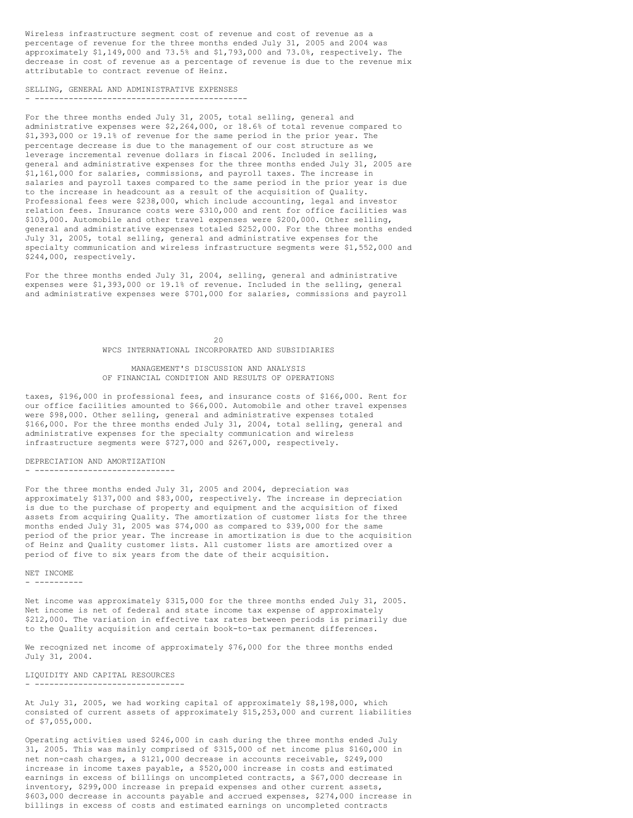Wireless infrastructure segment cost of revenue and cost of revenue as a percentage of revenue for the three months ended July 31, 2005 and 2004 was approximately \$1,149,000 and 73.5% and \$1,793,000 and 73.0%, respectively. The decrease in cost of revenue as a percentage of revenue is due to the revenue mix attributable to contract revenue of Heinz.

SELLING, GENERAL AND ADMINISTRATIVE EXPENSES - --------------------------------------------

For the three months ended July 31, 2005, total selling, general and administrative expenses were \$2,264,000, or 18.6% of total revenue compared to \$1,393,000 or 19.1% of revenue for the same period in the prior year. The percentage decrease is due to the management of our cost structure as we leverage incremental revenue dollars in fiscal 2006. Included in selling, general and administrative expenses for the three months ended July 31, 2005 are \$1,161,000 for salaries, commissions, and payroll taxes. The increase in salaries and payroll taxes compared to the same period in the prior year is due to the increase in headcount as a result of the acquisition of Quality. Professional fees were \$238,000, which include accounting, legal and investor relation fees. Insurance costs were \$310,000 and rent for office facilities was \$103,000. Automobile and other travel expenses were \$200,000. Other selling, general and administrative expenses totaled \$252,000. For the three months ended July 31, 2005, total selling, general and administrative expenses for the specialty communication and wireless infrastructure segments were \$1,552,000 and \$244,000, respectively.

For the three months ended July 31, 2004, selling, general and administrative expenses were \$1,393,000 or 19.1% of revenue. Included in the selling, general and administrative expenses were \$701,000 for salaries, commissions and payroll

> 20 WPCS INTERNATIONAL INCORPORATED AND SUBSIDIARIES

# MANAGEMENT'S DISCUSSION AND ANALYSIS OF FINANCIAL CONDITION AND RESULTS OF OPERATIONS

taxes, \$196,000 in professional fees, and insurance costs of \$166,000. Rent for our office facilities amounted to \$66,000. Automobile and other travel expenses were \$98,000. Other selling, general and administrative expenses totaled \$166,000. For the three months ended July 31, 2004, total selling, general and administrative expenses for the specialty communication and wireless infrastructure segments were \$727,000 and \$267,000, respectively.

# DEPRECIATION AND AMORTIZATION

#### - -----------------------------

For the three months ended July 31, 2005 and 2004, depreciation was approximately \$137,000 and \$83,000, respectively. The increase in depreciation is due to the purchase of property and equipment and the acquisition of fixed assets from acquiring Quality. The amortization of customer lists for the three months ended July 31, 2005 was \$74,000 as compared to \$39,000 for the same period of the prior year. The increase in amortization is due to the acquisition of Heinz and Quality customer lists. All customer lists are amortized over a period of five to six years from the date of their acquisition.

# NET INCOME

- ----------

Net income was approximately \$315,000 for the three months ended July 31, 2005. Net income is net of federal and state income tax expense of approximately \$212,000. The variation in effective tax rates between periods is primarily due to the Quality acquisition and certain book-to-tax permanent differences.

We recognized net income of approximately \$76,000 for the three months ended July 31, 2004.

# LIQUIDITY AND CAPITAL RESOURCES

- -------------------------------

At July 31, 2005, we had working capital of approximately \$8,198,000, which consisted of current assets of approximately \$15,253,000 and current liabilities of \$7,055,000.

Operating activities used \$246,000 in cash during the three months ended July 31, 2005. This was mainly comprised of \$315,000 of net income plus \$160,000 in net non-cash charges, a \$121,000 decrease in accounts receivable, \$249,000 increase in income taxes payable, a \$520,000 increase in costs and estimated earnings in excess of billings on uncompleted contracts, a \$67,000 decrease in inventory, \$299,000 increase in prepaid expenses and other current assets, \$603,000 decrease in accounts payable and accrued expenses, \$274,000 increase in billings in excess of costs and estimated earnings on uncompleted contracts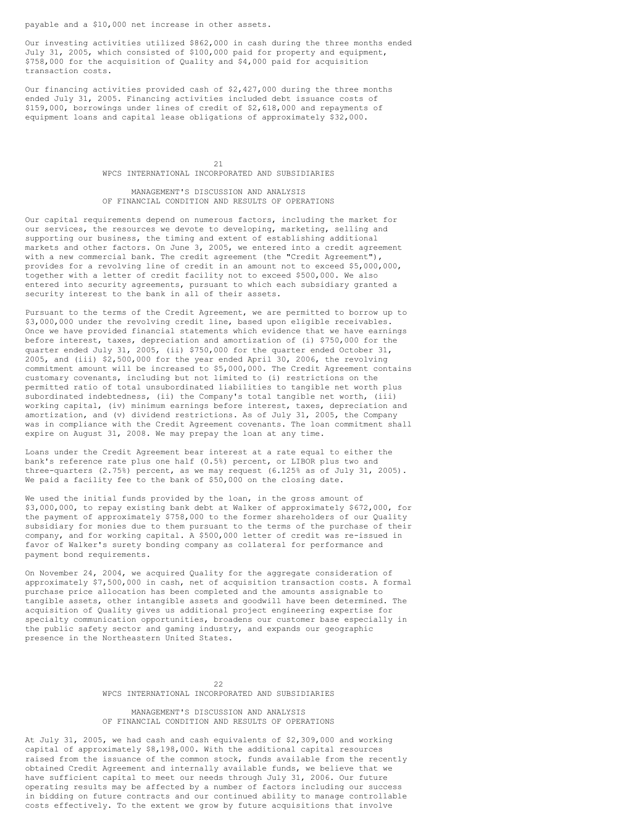payable and a \$10,000 net increase in other assets.

Our investing activities utilized \$862,000 in cash during the three months ended July 31, 2005, which consisted of \$100,000 paid for property and equipment, \$758,000 for the acquisition of Quality and \$4,000 paid for acquisition transaction costs.

Our financing activities provided cash of \$2,427,000 during the three months ended July 31, 2005. Financing activities included debt issuance costs of \$159,000, borrowings under lines of credit of \$2,618,000 and repayments of equipment loans and capital lease obligations of approximately \$32,000.

> 21 WPCS INTERNATIONAL INCORPORATED AND SUBSIDIARIES

# MANAGEMENT'S DISCUSSION AND ANALYSIS OF FINANCIAL CONDITION AND RESULTS OF OPERATIONS

Our capital requirements depend on numerous factors, including the market for our services, the resources we devote to developing, marketing, selling and supporting our business, the timing and extent of establishing additional markets and other factors. On June 3, 2005, we entered into a credit agreement with a new commercial bank. The credit agreement (the "Credit Agreement"), provides for a revolving line of credit in an amount not to exceed \$5,000,000, together with a letter of credit facility not to exceed \$500,000. We also entered into security agreements, pursuant to which each subsidiary granted a security interest to the bank in all of their assets.

Pursuant to the terms of the Credit Agreement, we are permitted to borrow up to \$3,000,000 under the revolving credit line, based upon eligible receivables. Once we have provided financial statements which evidence that we have earnings before interest, taxes, depreciation and amortization of (i) \$750,000 for the quarter ended July 31, 2005, (ii) \$750,000 for the quarter ended October 31, 2005, and (iii) \$2,500,000 for the year ended April 30, 2006, the revolving commitment amount will be increased to \$5,000,000. The Credit Agreement contains customary covenants, including but not limited to (i) restrictions on the permitted ratio of total unsubordinated liabilities to tangible net worth plus subordinated indebtedness, (ii) the Company's total tangible net worth, (iii) working capital, (iv) minimum earnings before interest, taxes, depreciation and amortization, and (v) dividend restrictions. As of July 31, 2005, the Company was in compliance with the Credit Agreement covenants. The loan commitment shall expire on August 31, 2008. We may prepay the loan at any time.

Loans under the Credit Agreement bear interest at a rate equal to either the bank's reference rate plus one half (0.5%) percent, or LIBOR plus two and three-quarters (2.75%) percent, as we may request (6.125% as of July 31, 2005). We paid a facility fee to the bank of \$50,000 on the closing date.

We used the initial funds provided by the loan, in the gross amount of \$3,000,000, to repay existing bank debt at Walker of approximately \$672,000, for the payment of approximately \$758,000 to the former shareholders of our Quality subsidiary for monies due to them pursuant to the terms of the purchase of their company, and for working capital. A \$500,000 letter of credit was re-issued in favor of Walker's surety bonding company as collateral for performance and payment bond requirements.

On November 24, 2004, we acquired Quality for the aggregate consideration of approximately \$7,500,000 in cash, net of acquisition transaction costs. A formal purchase price allocation has been completed and the amounts assignable to tangible assets, other intangible assets and goodwill have been determined. The acquisition of Quality gives us additional project engineering expertise for specialty communication opportunities, broadens our customer base especially in the public safety sector and gaming industry, and expands our geographic presence in the Northeastern United States.

> 22 WPCS INTERNATIONAL INCORPORATED AND SUBSIDIARIES

### MANAGEMENT'S DISCUSSION AND ANALYSIS OF FINANCIAL CONDITION AND RESULTS OF OPERATIONS

At July 31, 2005, we had cash and cash equivalents of \$2,309,000 and working capital of approximately \$8,198,000. With the additional capital resources raised from the issuance of the common stock, funds available from the recently obtained Credit Agreement and internally available funds, we believe that we have sufficient capital to meet our needs through July 31, 2006. Our future operating results may be affected by a number of factors including our success in bidding on future contracts and our continued ability to manage controllable costs effectively. To the extent we grow by future acquisitions that involve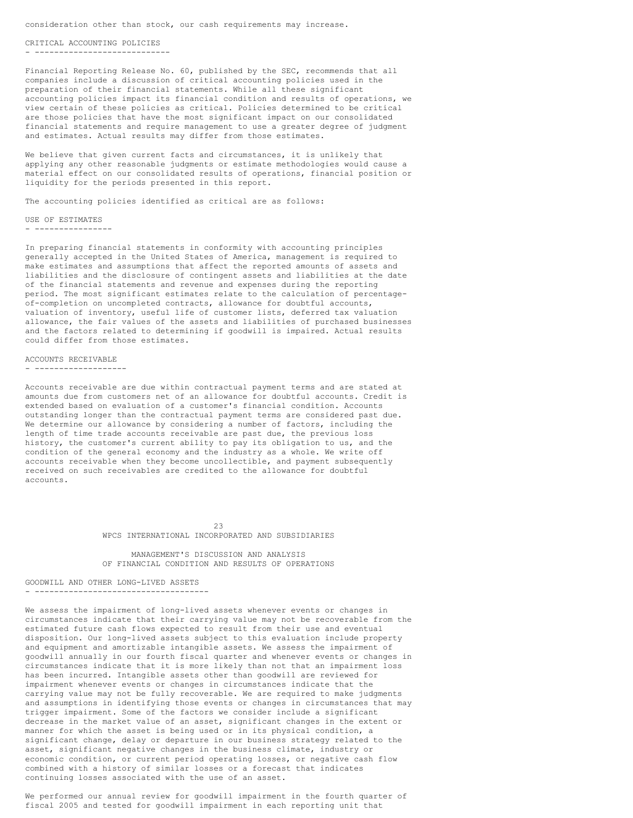consideration other than stock, our cash requirements may increase.

#### CRITICAL ACCOUNTING POLICIES

- ----------------------------

Financial Reporting Release No. 60, published by the SEC, recommends that all companies include a discussion of critical accounting policies used in the preparation of their financial statements. While all these significant accounting policies impact its financial condition and results of operations, we view certain of these policies as critical. Policies determined to be critical are those policies that have the most significant impact on our consolidated financial statements and require management to use a greater degree of judgment and estimates. Actual results may differ from those estimates.

We believe that given current facts and circumstances, it is unlikely that applying any other reasonable judgments or estimate methodologies would cause a material effect on our consolidated results of operations, financial position or liquidity for the periods presented in this report.

The accounting policies identified as critical are as follows:

USE OF ESTIMATES - ----------------

In preparing financial statements in conformity with accounting principles generally accepted in the United States of America, management is required to make estimates and assumptions that affect the reported amounts of assets and liabilities and the disclosure of contingent assets and liabilities at the date of the financial statements and revenue and expenses during the reporting period. The most significant estimates relate to the calculation of percentageof-completion on uncompleted contracts, allowance for doubtful accounts, valuation of inventory, useful life of customer lists, deferred tax valuation allowance, the fair values of the assets and liabilities of purchased businesses and the factors related to determining if goodwill is impaired. Actual results could differ from those estimates.

# ACCOUNTS RECEIVABLE

- -------------------

Accounts receivable are due within contractual payment terms and are stated at amounts due from customers net of an allowance for doubtful accounts. Credit is extended based on evaluation of a customer's financial condition. Accounts outstanding longer than the contractual payment terms are considered past due. We determine our allowance by considering a number of factors, including the length of time trade accounts receivable are past due, the previous loss history, the customer's current ability to pay its obligation to us, and the condition of the general economy and the industry as a whole. We write off accounts receivable when they become uncollectible, and payment subsequently received on such receivables are credited to the allowance for doubtful accounts.

> $23$ WPCS INTERNATIONAL INCORPORATED AND SUBSIDIARIES

> MANAGEMENT'S DISCUSSION AND ANALYSIS OF FINANCIAL CONDITION AND RESULTS OF OPERATIONS

#### GOODWILL AND OTHER LONG-LIVED ASSETS - ------------------------------------

We assess the impairment of long-lived assets whenever events or changes in circumstances indicate that their carrying value may not be recoverable from the estimated future cash flows expected to result from their use and eventual disposition. Our long-lived assets subject to this evaluation include property and equipment and amortizable intangible assets. We assess the impairment of goodwill annually in our fourth fiscal quarter and whenever events or changes in circumstances indicate that it is more likely than not that an impairment loss has been incurred. Intangible assets other than goodwill are reviewed for impairment whenever events or changes in circumstances indicate that the carrying value may not be fully recoverable. We are required to make judgments and assumptions in identifying those events or changes in circumstances that may trigger impairment. Some of the factors we consider include a significant decrease in the market value of an asset, significant changes in the extent or manner for which the asset is being used or in its physical condition, a significant change, delay or departure in our business strategy related to the asset, significant negative changes in the business climate, industry or economic condition, or current period operating losses, or negative cash flow combined with a history of similar losses or a forecast that indicates continuing losses associated with the use of an asset.

We performed our annual review for goodwill impairment in the fourth quarter of fiscal 2005 and tested for goodwill impairment in each reporting unit that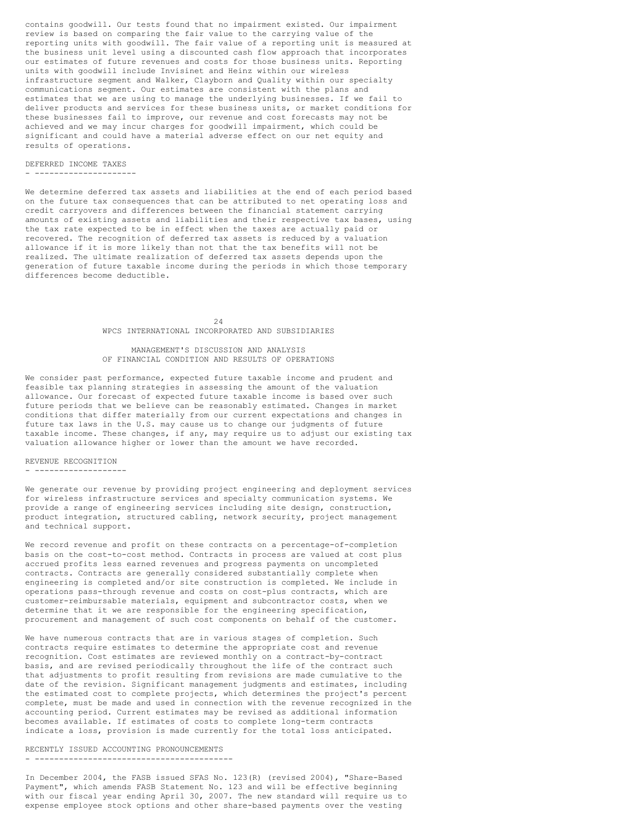contains goodwill. Our tests found that no impairment existed. Our impairment review is based on comparing the fair value to the carrying value of the reporting units with goodwill. The fair value of a reporting unit is measured at the business unit level using a discounted cash flow approach that incorporates our estimates of future revenues and costs for those business units. Reporting units with goodwill include Invisinet and Heinz within our wireless infrastructure segment and Walker, Clayborn and Quality within our specialty communications segment. Our estimates are consistent with the plans and estimates that we are using to manage the underlying businesses. If we fail to deliver products and services for these business units, or market conditions for these businesses fail to improve, our revenue and cost forecasts may not be achieved and we may incur charges for goodwill impairment, which could be significant and could have a material adverse effect on our net equity and results of operations.

# DEFERRED INCOME TAXES

- ---------------------

We determine deferred tax assets and liabilities at the end of each period based on the future tax consequences that can be attributed to net operating loss and credit carryovers and differences between the financial statement carrying amounts of existing assets and liabilities and their respective tax bases, using the tax rate expected to be in effect when the taxes are actually paid or recovered. The recognition of deferred tax assets is reduced by a valuation allowance if it is more likely than not that the tax benefits will not be realized. The ultimate realization of deferred tax assets depends upon the generation of future taxable income during the periods in which those temporary differences become deductible.

> 24 WPCS INTERNATIONAL INCORPORATED AND SUBSIDIARIES

MANAGEMENT'S DISCUSSION AND ANALYSIS OF FINANCIAL CONDITION AND RESULTS OF OPERATIONS

We consider past performance, expected future taxable income and prudent and feasible tax planning strategies in assessing the amount of the valuation allowance. Our forecast of expected future taxable income is based over such future periods that we believe can be reasonably estimated. Changes in market conditions that differ materially from our current expectations and changes in future tax laws in the U.S. may cause us to change our judgments of future taxable income. These changes, if any, may require us to adjust our existing tax valuation allowance higher or lower than the amount we have recorded.

# REVENUE RECOGNITION

- -------------------

We generate our revenue by providing project engineering and deployment services for wireless infrastructure services and specialty communication systems. We provide a range of engineering services including site design, construction, product integration, structured cabling, network security, project management and technical support.

We record revenue and profit on these contracts on a percentage-of-completion basis on the cost-to-cost method. Contracts in process are valued at cost plus accrued profits less earned revenues and progress payments on uncompleted contracts. Contracts are generally considered substantially complete when engineering is completed and/or site construction is completed. We include in operations pass-through revenue and costs on cost-plus contracts, which are customer-reimbursable materials, equipment and subcontractor costs, when we determine that it we are responsible for the engineering specification, procurement and management of such cost components on behalf of the customer.

We have numerous contracts that are in various stages of completion. Such contracts require estimates to determine the appropriate cost and revenue recognition. Cost estimates are reviewed monthly on a contract-by-contract basis, and are revised periodically throughout the life of the contract such that adjustments to profit resulting from revisions are made cumulative to the date of the revision. Significant management judgments and estimates, including the estimated cost to complete projects, which determines the project's percent complete, must be made and used in connection with the revenue recognized in the accounting period. Current estimates may be revised as additional information becomes available. If estimates of costs to complete long-term contracts indicate a loss, provision is made currently for the total loss anticipated.

# RECENTLY ISSUED ACCOUNTING PRONOUNCEMENTS

- -----------------------------------------

In December 2004, the FASB issued SFAS No. 123(R) (revised 2004), "Share-Based Payment", which amends FASB Statement No. 123 and will be effective beginning with our fiscal year ending April 30, 2007. The new standard will require us to expense employee stock options and other share-based payments over the vesting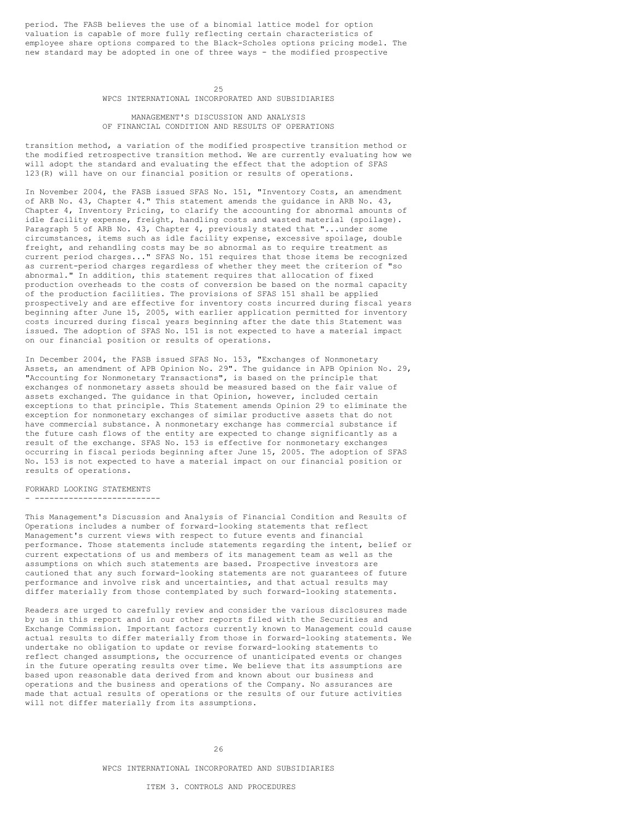period. The FASB believes the use of a binomial lattice model for option valuation is capable of more fully reflecting certain characteristics of employee share options compared to the Black-Scholes options pricing model. The new standard may be adopted in one of three ways - the modified prospective

> 25 WPCS INTERNATIONAL INCORPORATED AND SUBSIDIARIES

# MANAGEMENT'S DISCUSSION AND ANALYSIS OF FINANCIAL CONDITION AND RESULTS OF OPERATIONS

transition method, a variation of the modified prospective transition method or the modified retrospective transition method. We are currently evaluating how we will adopt the standard and evaluating the effect that the adoption of SFAS 123(R) will have on our financial position or results of operations.

In November 2004, the FASB issued SFAS No. 151, "Inventory Costs, an amendment of ARB No. 43, Chapter 4." This statement amends the guidance in ARB No. 43, Chapter 4, Inventory Pricing, to clarify the accounting for abnormal amounts of idle facility expense, freight, handling costs and wasted material (spoilage). Paragraph 5 of ARB No. 43, Chapter 4, previously stated that "...under some circumstances, items such as idle facility expense, excessive spoilage, double freight, and rehandling costs may be so abnormal as to require treatment as current period charges..." SFAS No. 151 requires that those items be recognized as current-period charges regardless of whether they meet the criterion of "so abnormal." In addition, this statement requires that allocation of fixed production overheads to the costs of conversion be based on the normal capacity of the production facilities. The provisions of SFAS 151 shall be applied prospectively and are effective for inventory costs incurred during fiscal years beginning after June 15, 2005, with earlier application permitted for inventory costs incurred during fiscal years beginning after the date this Statement was issued. The adoption of SFAS No. 151 is not expected to have a material impact on our financial position or results of operations.

In December 2004, the FASB issued SFAS No. 153, "Exchanges of Nonmonetary Assets, an amendment of APB Opinion No. 29". The guidance in APB Opinion No. 29, "Accounting for Nonmonetary Transactions", is based on the principle that exchanges of nonmonetary assets should be measured based on the fair value of assets exchanged. The guidance in that Opinion, however, included certain exceptions to that principle. This Statement amends Opinion 29 to eliminate the exception for nonmonetary exchanges of similar productive assets that do not have commercial substance. A nonmonetary exchange has commercial substance if the future cash flows of the entity are expected to change significantly as a result of the exchange. SFAS No. 153 is effective for nonmonetary exchanges occurring in fiscal periods beginning after June 15, 2005. The adoption of SFAS No. 153 is not expected to have a material impact on our financial position or results of operations.

FORWARD LOOKING STATEMENTS - --------------------------

This Management's Discussion and Analysis of Financial Condition and Results of Operations includes a number of forward-looking statements that reflect Management's current views with respect to future events and financial performance. Those statements include statements regarding the intent, belief or current expectations of us and members of its management team as well as the assumptions on which such statements are based. Prospective investors are cautioned that any such forward-looking statements are not guarantees of future performance and involve risk and uncertainties, and that actual results may differ materially from those contemplated by such forward-looking statements.

Readers are urged to carefully review and consider the various disclosures made by us in this report and in our other reports filed with the Securities and Exchange Commission. Important factors currently known to Management could cause actual results to differ materially from those in forward-looking statements. We undertake no obligation to update or revise forward-looking statements to reflect changed assumptions, the occurrence of unanticipated events or changes in the future operating results over time. We believe that its assumptions are based upon reasonable data derived from and known about our business and operations and the business and operations of the Company. No assurances are made that actual results of operations or the results of our future activities will not differ materially from its assumptions.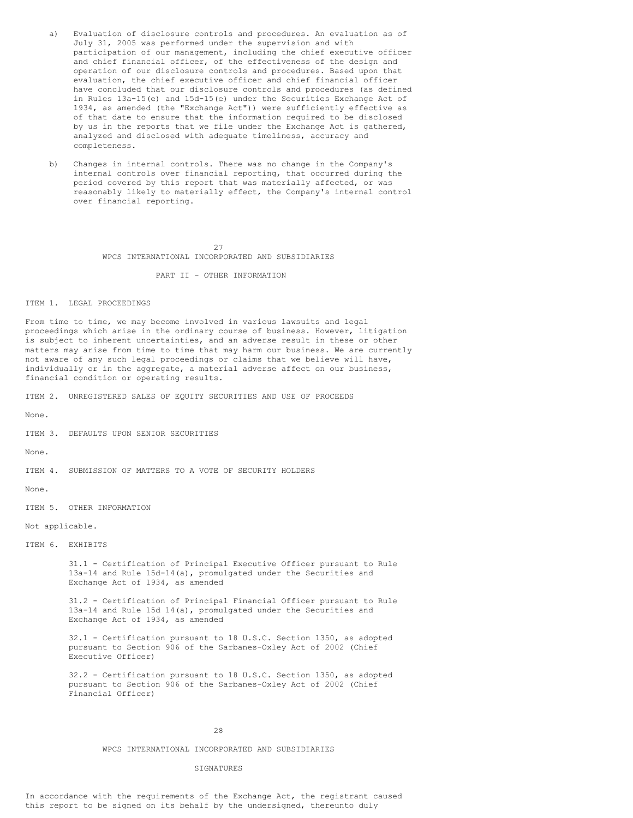- a) Evaluation of disclosure controls and procedures. An evaluation as of July 31, 2005 was performed under the supervision and with participation of our management, including the chief executive officer and chief financial officer, of the effectiveness of the design and operation of our disclosure controls and procedures. Based upon that evaluation, the chief executive officer and chief financial officer have concluded that our disclosure controls and procedures (as defined in Rules 13a-15(e) and 15d-15(e) under the Securities Exchange Act of 1934, as amended (the "Exchange Act")) were sufficiently effective as of that date to ensure that the information required to be disclosed by us in the reports that we file under the Exchange Act is gathered, analyzed and disclosed with adequate timeliness, accuracy and completeness.
- b) Changes in internal controls. There was no change in the Company's internal controls over financial reporting, that occurred during the period covered by this report that was materially affected, or was reasonably likely to materially effect, the Company's internal control over financial reporting.

27 WPCS INTERNATIONAL INCORPORATED AND SUBSIDIARIES

PART II - OTHER INFORMATION

#### ITEM 1. LEGAL PROCEEDINGS

From time to time, we may become involved in various lawsuits and legal proceedings which arise in the ordinary course of business. However, litigation is subject to inherent uncertainties, and an adverse result in these or other matters may arise from time to time that may harm our business. We are currently not aware of any such legal proceedings or claims that we believe will have, individually or in the aggregate, a material adverse affect on our business, financial condition or operating results.

ITEM 2. UNREGISTERED SALES OF EQUITY SECURITIES AND USE OF PROCEEDS

None.

ITEM 3. DEFAULTS UPON SENIOR SECURITIES

None.

ITEM 4. SUBMISSION OF MATTERS TO A VOTE OF SECURITY HOLDERS

None.

ITEM 5. OTHER INFORMATION

Not applicable.

ITEM 6. EXHIBITS

31.1 - Certification of Principal Executive Officer pursuant to Rule 13a-14 and Rule 15d-14(a), promulgated under the Securities and Exchange Act of 1934, as amended

31.2 - Certification of Principal Financial Officer pursuant to Rule 13a-14 and Rule 15d 14(a), promulgated under the Securities and Exchange Act of 1934, as amended

32.1 - Certification pursuant to 18 U.S.C. Section 1350, as adopted pursuant to Section 906 of the Sarbanes-Oxley Act of 2002 (Chief Executive Officer)

32.2 - Certification pursuant to 18 U.S.C. Section 1350, as adopted pursuant to Section 906 of the Sarbanes-Oxley Act of 2002 (Chief Financial Officer)

# 28

WPCS INTERNATIONAL INCORPORATED AND SUBSIDIARIES

#### SIGNATURES

In accordance with the requirements of the Exchange Act, the registrant caused this report to be signed on its behalf by the undersigned, thereunto duly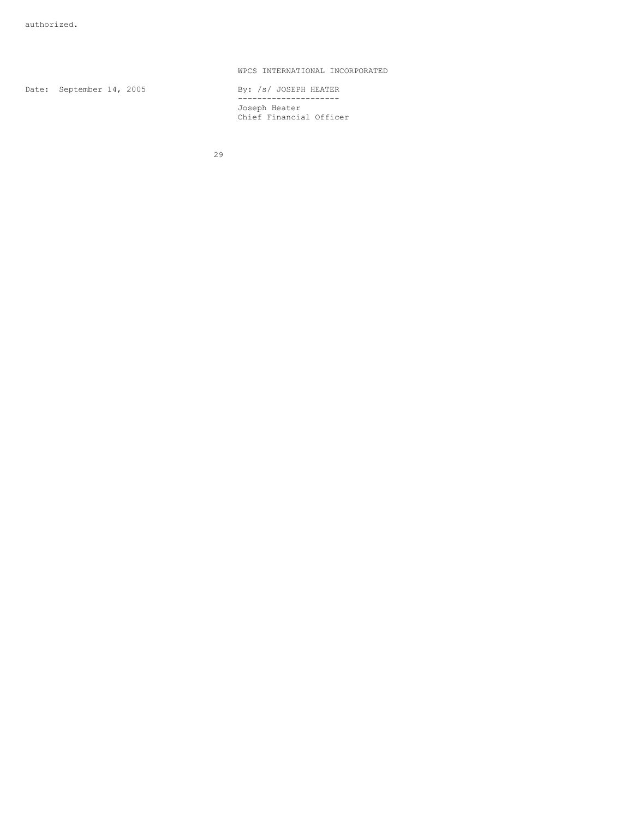WPCS INTERNATIONAL INCORPORATED

Date: September 14, 2005 By: /s/ JOSEPH HEATER

--------------------- Joseph Heater Chief Financial Officer

29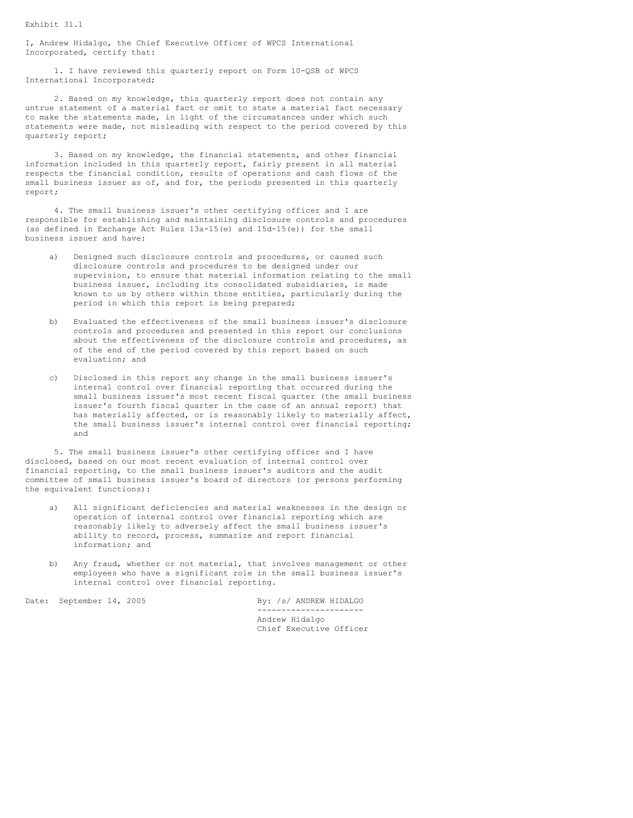### Exhibit 31.1

I, Andrew Hidalgo, the Chief Executive Officer of WPCS International Incorporated, certify that:

1. I have reviewed this quarterly report on Form 10-QSB of WPCS International Incorporated;

2. Based on my knowledge, this quarterly report does not contain any untrue statement of a material fact or omit to state a material fact necessary to make the statements made, in light of the circumstances under which such statements were made, not misleading with respect to the period covered by this quarterly report;

3. Based on my knowledge, the financial statements, and other financial information included in this quarterly report, fairly present in all material respects the financial condition, results of operations and cash flows of the small business issuer as of, and for, the periods presented in this quarterly report;

4. The small business issuer's other certifying officer and I are responsible for establishing and maintaining disclosure controls and procedures (as defined in Exchange Act Rules 13a-15(e) and 15d-15(e)) for the small business issuer and have:

- a) Designed such disclosure controls and procedures, or caused such disclosure controls and procedures to be designed under our supervision, to ensure that material information relating to the small business issuer, including its consolidated subsidiaries, is made known to us by others within those entities, particularly during the period in which this report is being prepared;
- b) Evaluated the effectiveness of the small business issuer's disclosure controls and procedures and presented in this report our conclusions about the effectiveness of the disclosure controls and procedures, as of the end of the period covered by this report based on such evaluation; and
- c) Disclosed in this report any change in the small business issuer's internal control over financial reporting that occurred during the small business issuer's most recent fiscal quarter (the small business issuer's fourth fiscal quarter in the case of an annual report) that has materially affected, or is reasonably likely to materially affect, the small business issuer's internal control over financial reporting; and

5. The small business issuer's other certifying officer and I have disclosed, based on our most recent evaluation of internal control over financial reporting, to the small business issuer's auditors and the audit committee of small business issuer's board of directors (or persons performing the equivalent functions):

- a) All significant deficiencies and material weaknesses in the design or operation of internal control over financial reporting which are reasonably likely to adversely affect the small business issuer's ability to record, process, summarize and report financial information; and
- b) Any fraud, whether or not material, that involves management or other employees who have a significant role in the small business issuer's internal control over financial reporting.

Date: September 14, 2005 By: /s/ ANDREW HIDALGO ---------------------- Andrew Hidalgo Chief Executive Officer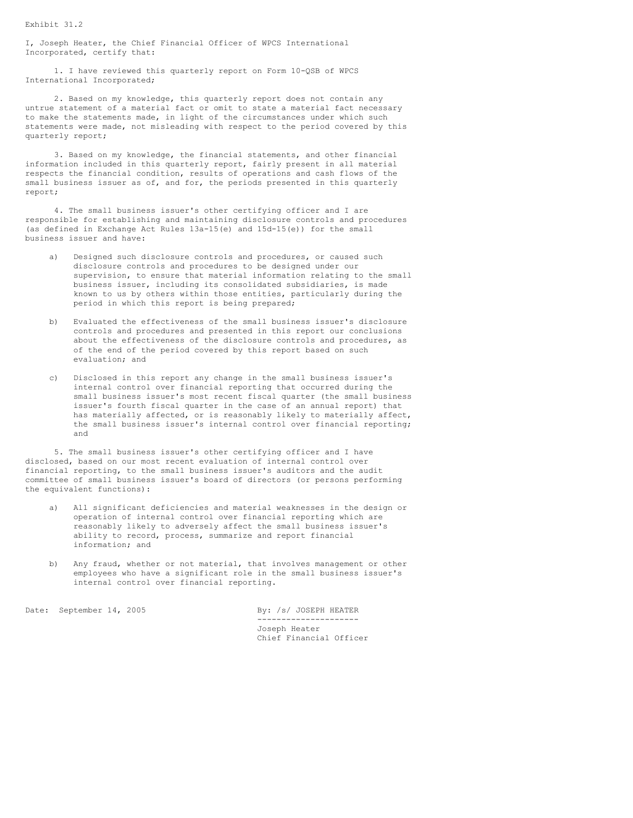### Exhibit 31.2

I, Joseph Heater, the Chief Financial Officer of WPCS International Incorporated, certify that:

1. I have reviewed this quarterly report on Form 10-QSB of WPCS International Incorporated;

2. Based on my knowledge, this quarterly report does not contain any untrue statement of a material fact or omit to state a material fact necessary to make the statements made, in light of the circumstances under which such statements were made, not misleading with respect to the period covered by this quarterly report;

3. Based on my knowledge, the financial statements, and other financial information included in this quarterly report, fairly present in all material respects the financial condition, results of operations and cash flows of the small business issuer as of, and for, the periods presented in this quarterly report;

4. The small business issuer's other certifying officer and I are responsible for establishing and maintaining disclosure controls and procedures (as defined in Exchange Act Rules 13a-15(e) and 15d-15(e)) for the small business issuer and have:

- a) Designed such disclosure controls and procedures, or caused such disclosure controls and procedures to be designed under our supervision, to ensure that material information relating to the small business issuer, including its consolidated subsidiaries, is made known to us by others within those entities, particularly during the period in which this report is being prepared;
- b) Evaluated the effectiveness of the small business issuer's disclosure controls and procedures and presented in this report our conclusions about the effectiveness of the disclosure controls and procedures, as of the end of the period covered by this report based on such evaluation; and
- c) Disclosed in this report any change in the small business issuer's internal control over financial reporting that occurred during the small business issuer's most recent fiscal quarter (the small business issuer's fourth fiscal quarter in the case of an annual report) that has materially affected, or is reasonably likely to materially affect, the small business issuer's internal control over financial reporting; and

5. The small business issuer's other certifying officer and I have disclosed, based on our most recent evaluation of internal control over financial reporting, to the small business issuer's auditors and the audit committee of small business issuer's board of directors (or persons performing the equivalent functions):

- a) All significant deficiencies and material weaknesses in the design or operation of internal control over financial reporting which are reasonably likely to adversely affect the small business issuer's ability to record, process, summarize and report financial information; and
- b) Any fraud, whether or not material, that involves management or other employees who have a significant role in the small business issuer's internal control over financial reporting.

Date: September 14, 2005 By: /s/ JOSEPH HEATER

--------------------- Joseph Heater Chief Financial Officer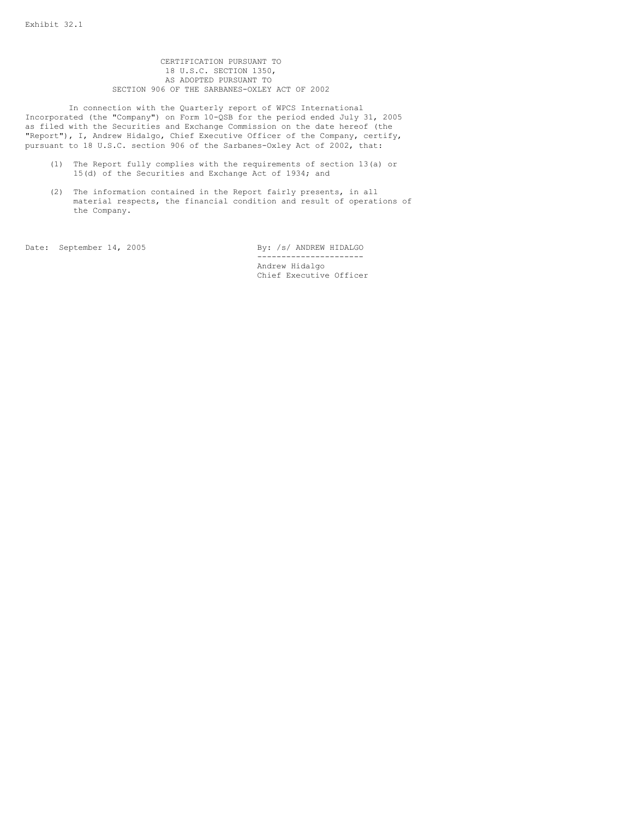CERTIFICATION PURSUANT TO 18 U.S.C. SECTION 1350, AS ADOPTED PURSUANT TO SECTION 906 OF THE SARBANES-OXLEY ACT OF 2002

In connection with the Quarterly report of WPCS International Incorporated (the "Company") on Form 10-QSB for the period ended July 31, 2005 as filed with the Securities and Exchange Commission on the date hereof (the "Report"), I, Andrew Hidalgo, Chief Executive Officer of the Company, certify, pursuant to 18 U.S.C. section 906 of the Sarbanes-Oxley Act of 2002, that:

- (1) The Report fully complies with the requirements of section 13(a) or 15(d) of the Securities and Exchange Act of 1934; and
- (2) The information contained in the Report fairly presents, in all material respects, the financial condition and result of operations of the Company.

Date: September 14, 2005 By: /s/ ANDREW HIDALGO

---------------------- Andrew Hidalgo Chief Executive Officer